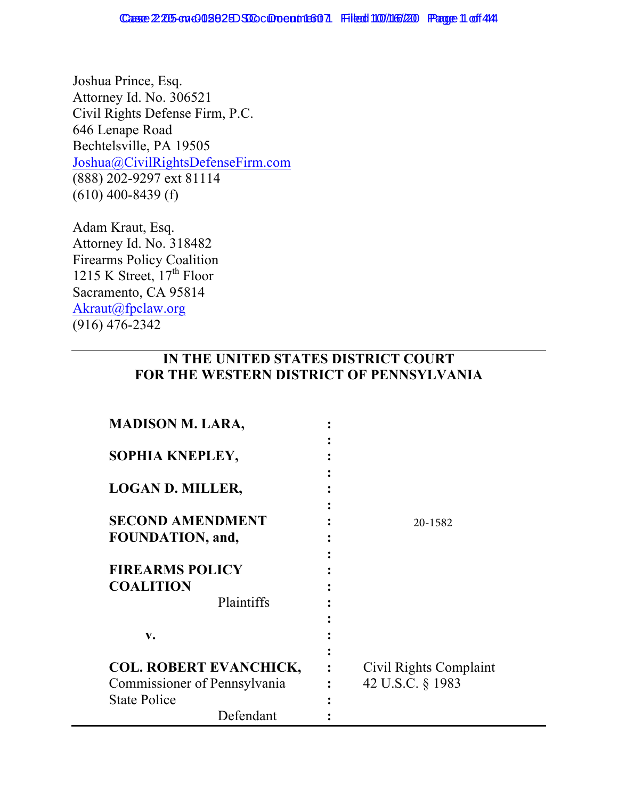Joshua Prince, Esq. Attorney Id. No. 306521 Civil Rights Defense Firm, P.C. 646 Lenape Road Bechtelsville, PA 19505 Joshua@CivilRightsDefenseFirm.com (888) 202-9297 ext 81114 (610) 400-8439 (f)

Adam Kraut, Esq. Attorney Id. No. 318482 Firearms Policy Coalition 1215 K Street,  $17<sup>th</sup>$  Floor Sacramento, CA 95814 Akraut@fpclaw.org (916) 476-2342

## **IN THE UNITED STATES DISTRICT COURT FOR THE WESTERN DISTRICT OF PENNSYLVANIA**

| <b>MADISON M. LARA,</b>                                  |                        |
|----------------------------------------------------------|------------------------|
| SOPHIA KNEPLEY,                                          |                        |
| <b>LOGAN D. MILLER,</b>                                  |                        |
| <b>SECOND AMENDMENT</b><br>FOUNDATION, and,              | 20-1582                |
| <b>FIREARMS POLICY</b><br><b>COALITION</b><br>Plaintiffs |                        |
| $V_{\bullet}$                                            |                        |
| <b>COL. ROBERT EVANCHICK,</b>                            | Civil Rights Complaint |
| Commissioner of Pennsylvania                             | 42 U.S.C. § 1983       |
| <b>State Police</b><br>Defendant                         |                        |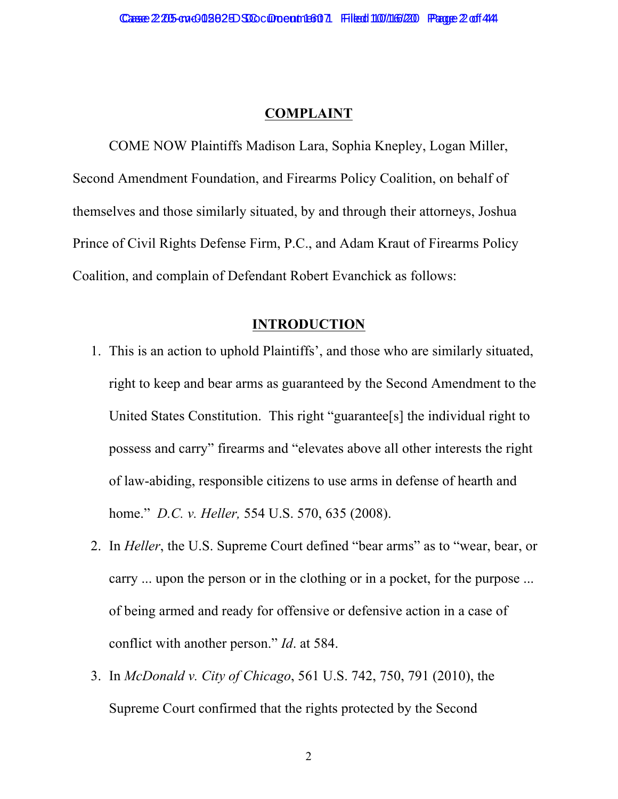#### **COMPLAINT**

COME NOW Plaintiffs Madison Lara, Sophia Knepley, Logan Miller, Second Amendment Foundation, and Firearms Policy Coalition, on behalf of themselves and those similarly situated, by and through their attorneys, Joshua Prince of Civil Rights Defense Firm, P.C., and Adam Kraut of Firearms Policy Coalition, and complain of Defendant Robert Evanchick as follows:

#### **INTRODUCTION**

- 1. This is an action to uphold Plaintiffs', and those who are similarly situated, right to keep and bear arms as guaranteed by the Second Amendment to the United States Constitution. This right "guarantee[s] the individual right to possess and carry" firearms and "elevates above all other interests the right of law-abiding, responsible citizens to use arms in defense of hearth and home." *D.C. v. Heller,* 554 U.S. 570, 635 (2008).
- 2. In *Heller*, the U.S. Supreme Court defined "bear arms" as to "wear, bear, or carry ... upon the person or in the clothing or in a pocket, for the purpose ... of being armed and ready for offensive or defensive action in a case of conflict with another person." *Id*. at 584.
- 3. In *McDonald v. City of Chicago*, 561 U.S. 742, 750, 791 (2010), the Supreme Court confirmed that the rights protected by the Second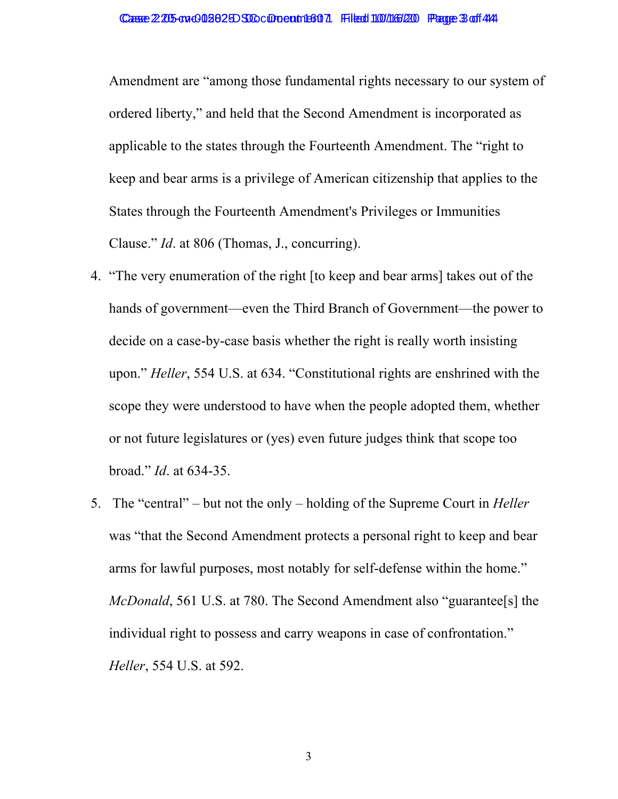Amendment are "among those fundamental rights necessary to our system of ordered liberty," and held that the Second Amendment is incorporated as applicable to the states through the Fourteenth Amendment. The "right to keep and bear arms is a privilege of American citizenship that applies to the States through the Fourteenth Amendment's Privileges or Immunities Clause." *Id*. at 806 (Thomas, J., concurring).

- 4. "The very enumeration of the right [to keep and bear arms] takes out of the hands of government—even the Third Branch of Government—the power to decide on a case-by-case basis whether the right is really worth insisting upon." *Heller*, 554 U.S. at 634. "Constitutional rights are enshrined with the scope they were understood to have when the people adopted them, whether or not future legislatures or (yes) even future judges think that scope too broad." *Id*. at 634-35.
- 5. The "central" but not the only holding of the Supreme Court in *Heller* was "that the Second Amendment protects a personal right to keep and bear arms for lawful purposes, most notably for self-defense within the home." *McDonald*, 561 U.S. at 780. The Second Amendment also "guarantee[s] the individual right to possess and carry weapons in case of confrontation." *Heller*, 554 U.S. at 592.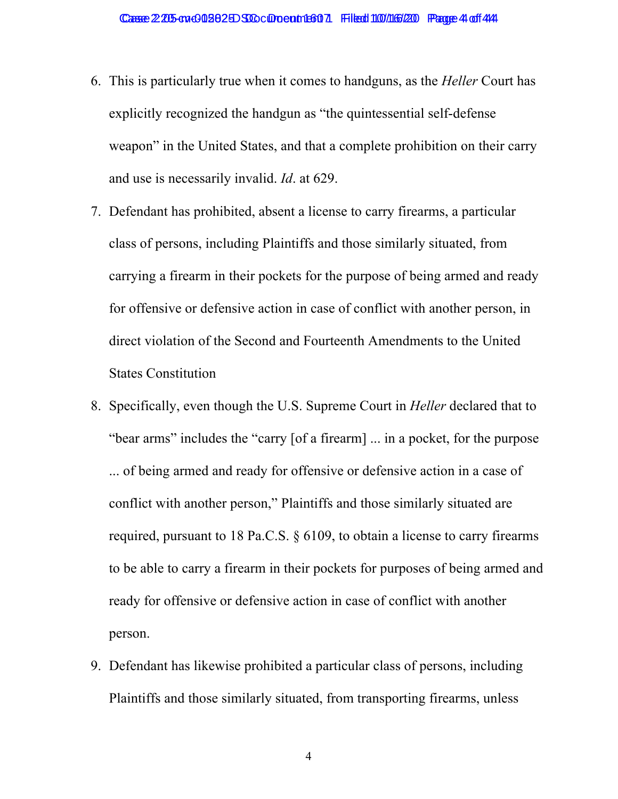- 6. This is particularly true when it comes to handguns, as the *Heller* Court has explicitly recognized the handgun as "the quintessential self-defense weapon" in the United States, and that a complete prohibition on their carry and use is necessarily invalid. *Id*. at 629.
- 7. Defendant has prohibited, absent a license to carry firearms, a particular class of persons, including Plaintiffs and those similarly situated, from carrying a firearm in their pockets for the purpose of being armed and ready for offensive or defensive action in case of conflict with another person, in direct violation of the Second and Fourteenth Amendments to the United States Constitution
- 8. Specifically, even though the U.S. Supreme Court in *Heller* declared that to "bear arms" includes the "carry [of a firearm] ... in a pocket, for the purpose ... of being armed and ready for offensive or defensive action in a case of conflict with another person," Plaintiffs and those similarly situated are required, pursuant to 18 Pa.C.S. § 6109, to obtain a license to carry firearms to be able to carry a firearm in their pockets for purposes of being armed and ready for offensive or defensive action in case of conflict with another person.
- 9. Defendant has likewise prohibited a particular class of persons, including Plaintiffs and those similarly situated, from transporting firearms, unless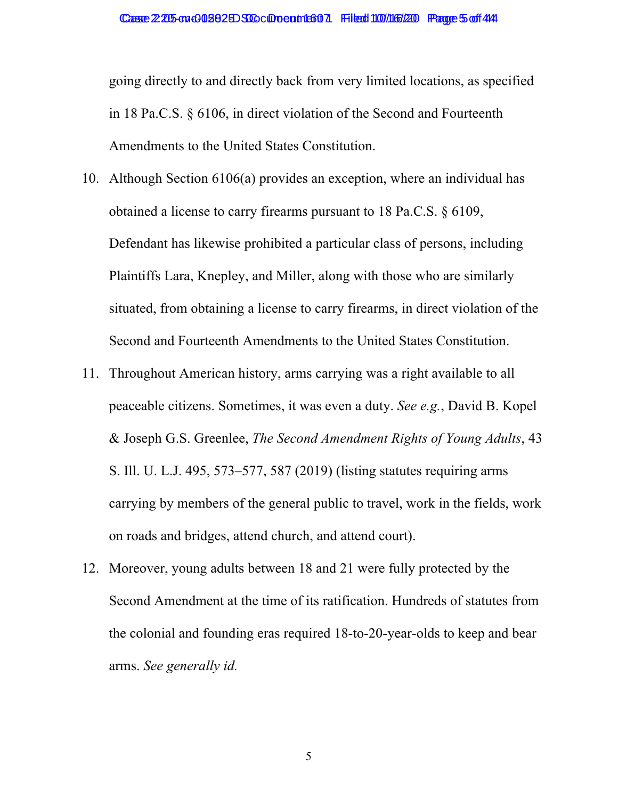going directly to and directly back from very limited locations, as specified in 18 Pa.C.S. § 6106, in direct violation of the Second and Fourteenth Amendments to the United States Constitution.

- 10. Although Section 6106(a) provides an exception, where an individual has obtained a license to carry firearms pursuant to 18 Pa.C.S. § 6109, Defendant has likewise prohibited a particular class of persons, including Plaintiffs Lara, Knepley, and Miller, along with those who are similarly situated, from obtaining a license to carry firearms, in direct violation of the Second and Fourteenth Amendments to the United States Constitution.
- 11. Throughout American history, arms carrying was a right available to all peaceable citizens. Sometimes, it was even a duty. *See e.g.*, David B. Kopel & Joseph G.S. Greenlee, *The Second Amendment Rights of Young Adults*, 43 S. Ill. U. L.J. 495, 573–577, 587 (2019) (listing statutes requiring arms carrying by members of the general public to travel, work in the fields, work on roads and bridges, attend church, and attend court).
- 12. Moreover, young adults between 18 and 21 were fully protected by the Second Amendment at the time of its ratification. Hundreds of statutes from the colonial and founding eras required 18-to-20-year-olds to keep and bear arms. *See generally id.*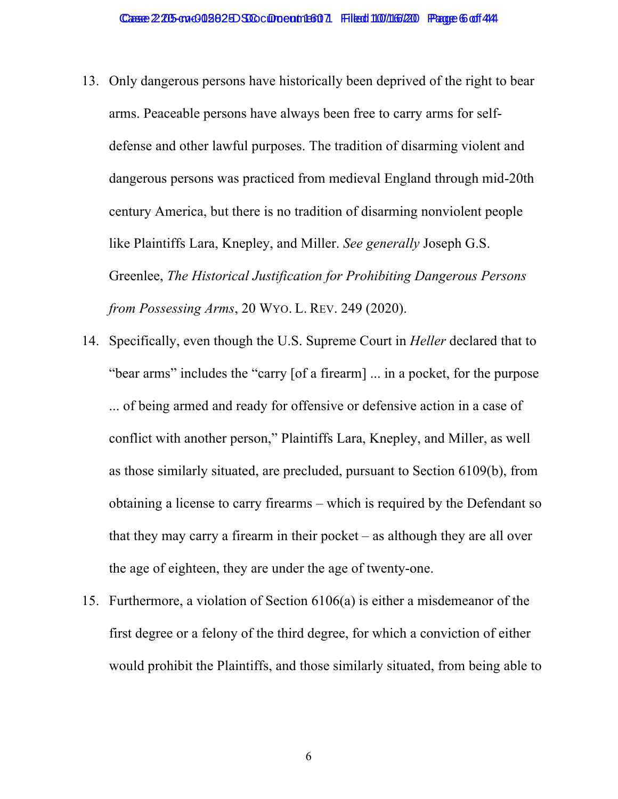- 13. Only dangerous persons have historically been deprived of the right to bear arms. Peaceable persons have always been free to carry arms for selfdefense and other lawful purposes. The tradition of disarming violent and dangerous persons was practiced from medieval England through mid-20th century America, but there is no tradition of disarming nonviolent people like Plaintiffs Lara, Knepley, and Miller. *See generally* Joseph G.S. Greenlee, *The Historical Justification for Prohibiting Dangerous Persons from Possessing Arms*, 20 WYO. L. REV. 249 (2020).
- 14. Specifically, even though the U.S. Supreme Court in *Heller* declared that to "bear arms" includes the "carry [of a firearm] ... in a pocket, for the purpose ... of being armed and ready for offensive or defensive action in a case of conflict with another person," Plaintiffs Lara, Knepley, and Miller, as well as those similarly situated, are precluded, pursuant to Section 6109(b), from obtaining a license to carry firearms – which is required by the Defendant so that they may carry a firearm in their pocket – as although they are all over the age of eighteen, they are under the age of twenty-one.
- 15. Furthermore, a violation of Section 6106(a) is either a misdemeanor of the first degree or a felony of the third degree, for which a conviction of either would prohibit the Plaintiffs, and those similarly situated, from being able to

6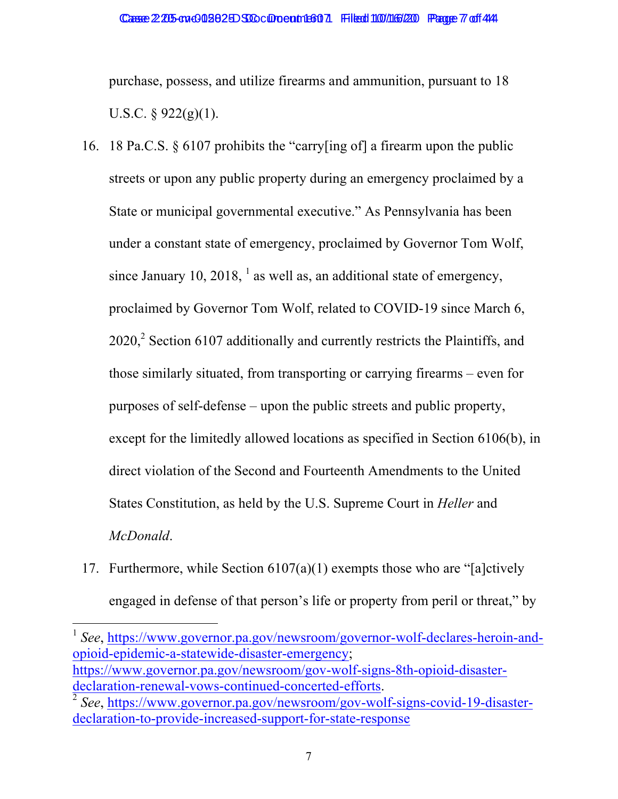purchase, possess, and utilize firearms and ammunition, pursuant to 18 U.S.C.  $\frac{6}{922(g)(1)}$ .

- 16. 18 Pa.C.S. § 6107 prohibits the "carry[ing of] a firearm upon the public streets or upon any public property during an emergency proclaimed by a State or municipal governmental executive." As Pennsylvania has been under a constant state of emergency, proclaimed by Governor Tom Wolf, since January 10, 2018,  $<sup>1</sup>$  as well as, an additional state of emergency,</sup> proclaimed by Governor Tom Wolf, related to COVID-19 since March 6,  $2020$ , Section 6107 additionally and currently restricts the Plaintiffs, and those similarly situated, from transporting or carrying firearms – even for purposes of self-defense – upon the public streets and public property, except for the limitedly allowed locations as specified in Section 6106(b), in direct violation of the Second and Fourteenth Amendments to the United States Constitution, as held by the U.S. Supreme Court in *Heller* and *McDonald*.
- 17. Furthermore, while Section  $6107(a)(1)$  exempts those who are "[a]ctively engaged in defense of that person's life or property from peril or threat," by

<u> 1989 - Johann Stein, fransk politik (d. 1989)</u> <sup>1</sup> *See*, https://www.governor.pa.gov/newsroom/governor-wolf-declares-heroin-andopioid-epidemic-a-statewide-disaster-emergency; https://www.governor.pa.gov/newsroom/gov-wolf-signs-8th-opioid-disasterdeclaration-renewal-vows-continued-concerted-efforts.<br><sup>2</sup> *See*, https://www.governor.pa.gov/newsroom/gov-wolf-signs-covid-19-disaster-

declaration-to-provide-increased-support-for-state-response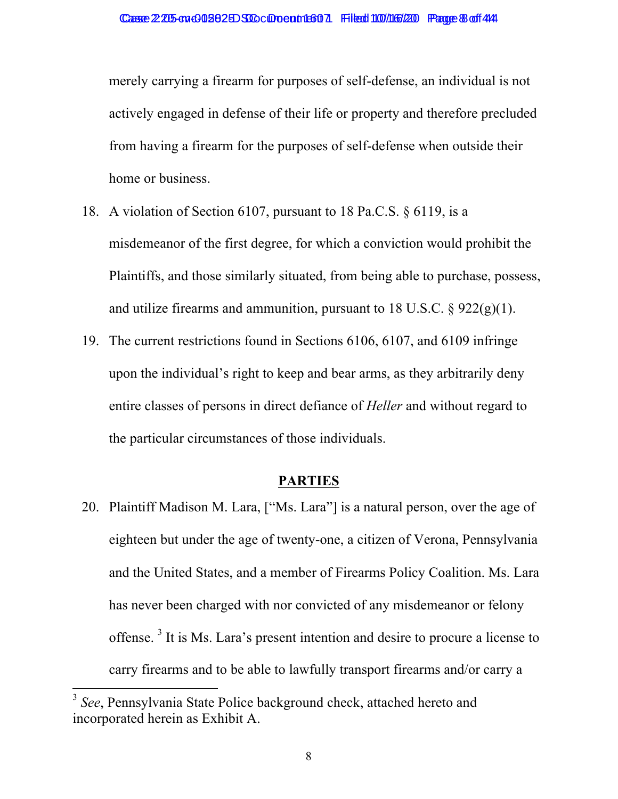merely carrying a firearm for purposes of self-defense, an individual is not actively engaged in defense of their life or property and therefore precluded from having a firearm for the purposes of self-defense when outside their home or business.

- 18. A violation of Section 6107, pursuant to 18 Pa.C.S. § 6119, is a misdemeanor of the first degree, for which a conviction would prohibit the Plaintiffs, and those similarly situated, from being able to purchase, possess, and utilize firearms and ammunition, pursuant to  $18 \text{ U.S.C.}$  §  $922(g)(1)$ .
- 19. The current restrictions found in Sections 6106, 6107, and 6109 infringe upon the individual's right to keep and bear arms, as they arbitrarily deny entire classes of persons in direct defiance of *Heller* and without regard to the particular circumstances of those individuals.

#### **PARTIES**

20. Plaintiff Madison M. Lara, ["Ms. Lara"] is a natural person, over the age of eighteen but under the age of twenty-one, a citizen of Verona, Pennsylvania and the United States, and a member of Firearms Policy Coalition. Ms. Lara has never been charged with nor convicted of any misdemeanor or felony offense. <sup>3</sup> It is Ms. Lara's present intention and desire to procure a license to carry firearms and to be able to lawfully transport firearms and/or carry a

<sup>&</sup>lt;sup>3</sup> See, Pennsylvania State Police background check, attached hereto and incorporated herein as Exhibit A.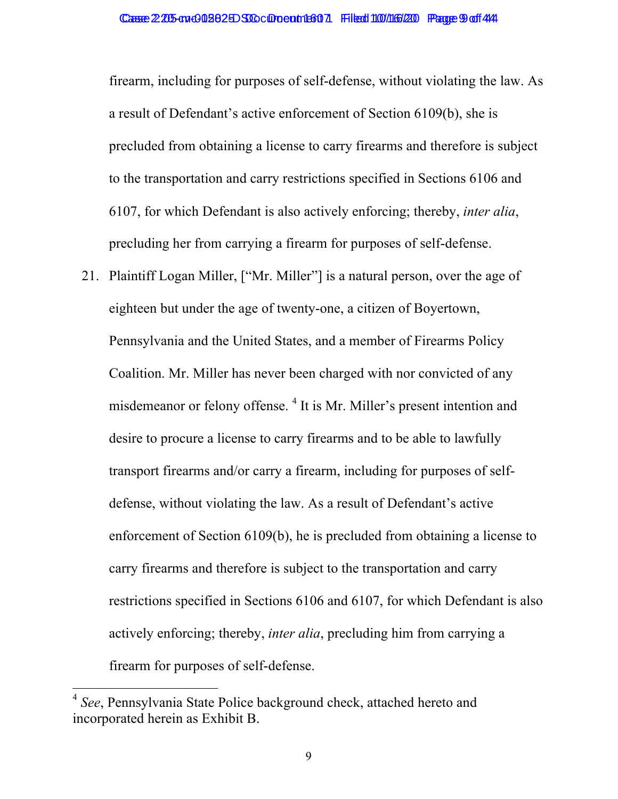firearm, including for purposes of self-defense, without violating the law. As a result of Defendant's active enforcement of Section 6109(b), she is precluded from obtaining a license to carry firearms and therefore is subject to the transportation and carry restrictions specified in Sections 6106 and 6107, for which Defendant is also actively enforcing; thereby, *inter alia*, precluding her from carrying a firearm for purposes of self-defense.

21. Plaintiff Logan Miller, ["Mr. Miller"] is a natural person, over the age of eighteen but under the age of twenty-one, a citizen of Boyertown, Pennsylvania and the United States, and a member of Firearms Policy Coalition. Mr. Miller has never been charged with nor convicted of any misdemeanor or felony offense. <sup>4</sup> It is Mr. Miller's present intention and desire to procure a license to carry firearms and to be able to lawfully transport firearms and/or carry a firearm, including for purposes of selfdefense, without violating the law. As a result of Defendant's active enforcement of Section 6109(b), he is precluded from obtaining a license to carry firearms and therefore is subject to the transportation and carry restrictions specified in Sections 6106 and 6107, for which Defendant is also actively enforcing; thereby, *inter alia*, precluding him from carrying a firearm for purposes of self-defense.

<sup>4</sup> *See*, Pennsylvania State Police background check, attached hereto and incorporated herein as Exhibit B.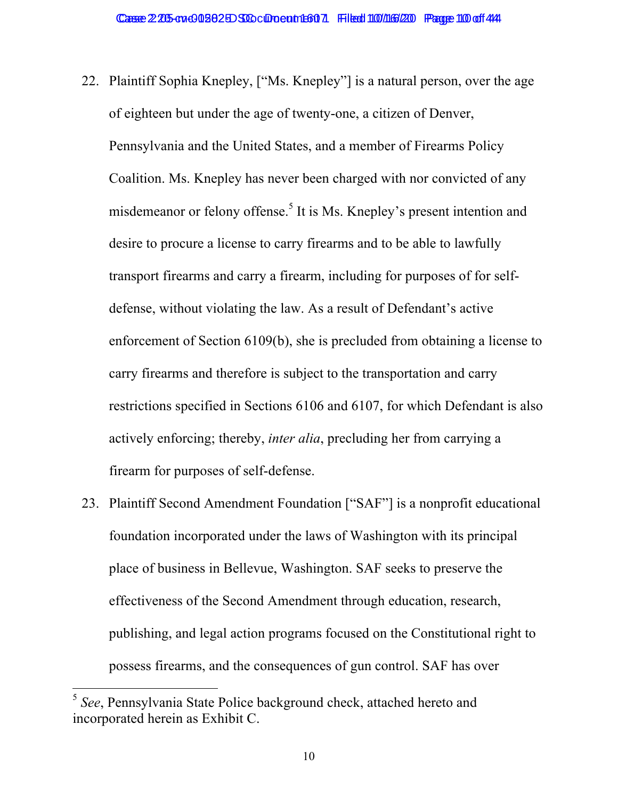- 22. Plaintiff Sophia Knepley, ["Ms. Knepley"] is a natural person, over the age of eighteen but under the age of twenty-one, a citizen of Denver, Pennsylvania and the United States, and a member of Firearms Policy Coalition. Ms. Knepley has never been charged with nor convicted of any misdemeanor or felony offense.<sup>5</sup> It is Ms. Knepley's present intention and desire to procure a license to carry firearms and to be able to lawfully transport firearms and carry a firearm, including for purposes of for selfdefense, without violating the law. As a result of Defendant's active enforcement of Section 6109(b), she is precluded from obtaining a license to carry firearms and therefore is subject to the transportation and carry restrictions specified in Sections 6106 and 6107, for which Defendant is also actively enforcing; thereby, *inter alia*, precluding her from carrying a firearm for purposes of self-defense.
- 23. Plaintiff Second Amendment Foundation ["SAF"] is a nonprofit educational foundation incorporated under the laws of Washington with its principal place of business in Bellevue, Washington. SAF seeks to preserve the effectiveness of the Second Amendment through education, research, publishing, and legal action programs focused on the Constitutional right to possess firearms, and the consequences of gun control. SAF has over

<sup>5</sup> *See*, Pennsylvania State Police background check, attached hereto and incorporated herein as Exhibit C.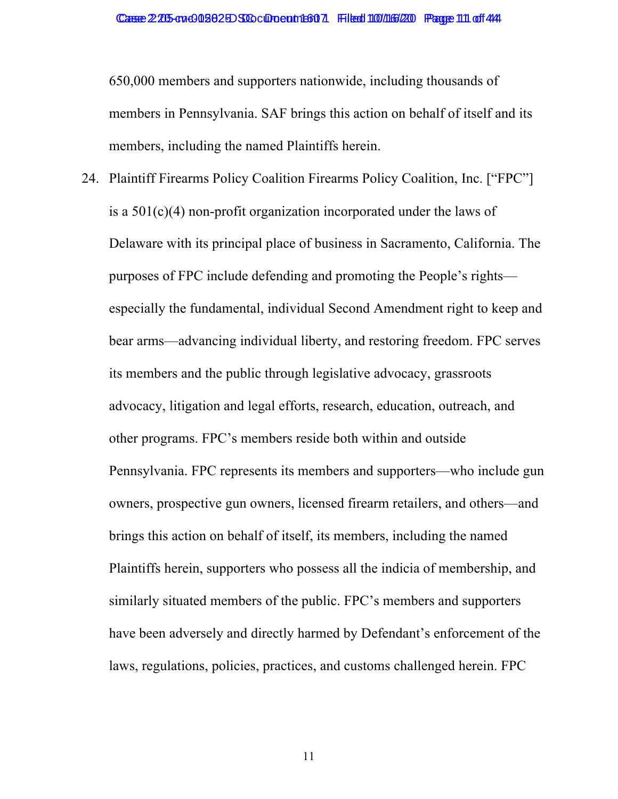650,000 members and supporters nationwide, including thousands of members in Pennsylvania. SAF brings this action on behalf of itself and its members, including the named Plaintiffs herein.

24. Plaintiff Firearms Policy Coalition Firearms Policy Coalition, Inc. ["FPC"] is a 501(c)(4) non-profit organization incorporated under the laws of Delaware with its principal place of business in Sacramento, California. The purposes of FPC include defending and promoting the People's rights especially the fundamental, individual Second Amendment right to keep and bear arms—advancing individual liberty, and restoring freedom. FPC serves its members and the public through legislative advocacy, grassroots advocacy, litigation and legal efforts, research, education, outreach, and other programs. FPC's members reside both within and outside Pennsylvania. FPC represents its members and supporters—who include gun owners, prospective gun owners, licensed firearm retailers, and others—and brings this action on behalf of itself, its members, including the named Plaintiffs herein, supporters who possess all the indicia of membership, and similarly situated members of the public. FPC's members and supporters have been adversely and directly harmed by Defendant's enforcement of the laws, regulations, policies, practices, and customs challenged herein. FPC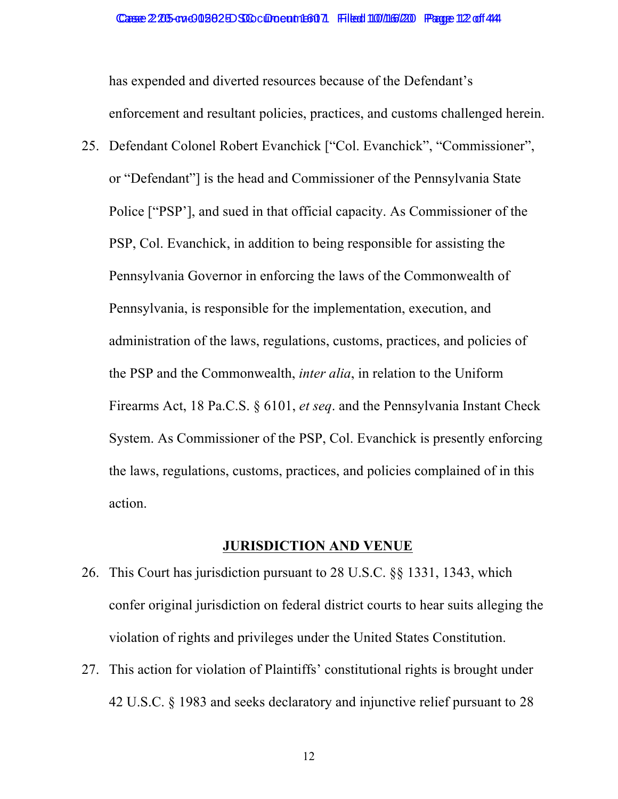has expended and diverted resources because of the Defendant's enforcement and resultant policies, practices, and customs challenged herein.

25. Defendant Colonel Robert Evanchick ["Col. Evanchick", "Commissioner", or "Defendant"] is the head and Commissioner of the Pennsylvania State Police ["PSP'], and sued in that official capacity. As Commissioner of the PSP, Col. Evanchick, in addition to being responsible for assisting the Pennsylvania Governor in enforcing the laws of the Commonwealth of Pennsylvania, is responsible for the implementation, execution, and administration of the laws, regulations, customs, practices, and policies of the PSP and the Commonwealth, *inter alia*, in relation to the Uniform Firearms Act, 18 Pa.C.S. § 6101, *et seq*. and the Pennsylvania Instant Check System. As Commissioner of the PSP, Col. Evanchick is presently enforcing the laws, regulations, customs, practices, and policies complained of in this action.

## **JURISDICTION AND VENUE**

- 26. This Court has jurisdiction pursuant to 28 U.S.C. §§ 1331, 1343, which confer original jurisdiction on federal district courts to hear suits alleging the violation of rights and privileges under the United States Constitution.
- 27. This action for violation of Plaintiffs' constitutional rights is brought under 42 U.S.C. § 1983 and seeks declaratory and injunctive relief pursuant to 28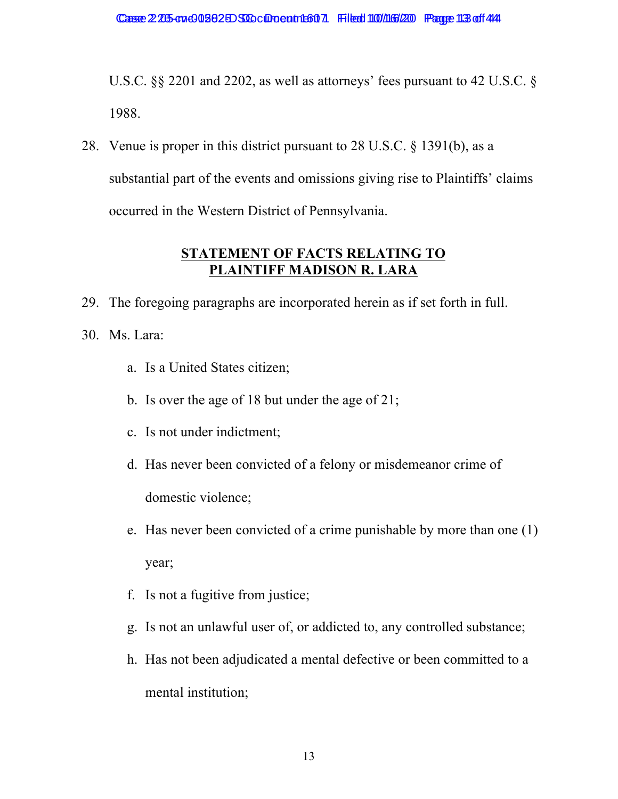U.S.C. §§ 2201 and 2202, as well as attorneys' fees pursuant to 42 U.S.C. § 1988.

28. Venue is proper in this district pursuant to 28 U.S.C. § 1391(b), as a substantial part of the events and omissions giving rise to Plaintiffs' claims occurred in the Western District of Pennsylvania.

# **STATEMENT OF FACTS RELATING TO PLAINTIFF MADISON R. LARA**

- 29. The foregoing paragraphs are incorporated herein as if set forth in full.
- 30. Ms. Lara:
	- a. Is a United States citizen;
	- b. Is over the age of 18 but under the age of 21;
	- c. Is not under indictment;
	- d. Has never been convicted of a felony or misdemeanor crime of domestic violence;
	- e. Has never been convicted of a crime punishable by more than one (1) year;
	- f. Is not a fugitive from justice;
	- g. Is not an unlawful user of, or addicted to, any controlled substance;
	- h. Has not been adjudicated a mental defective or been committed to a mental institution;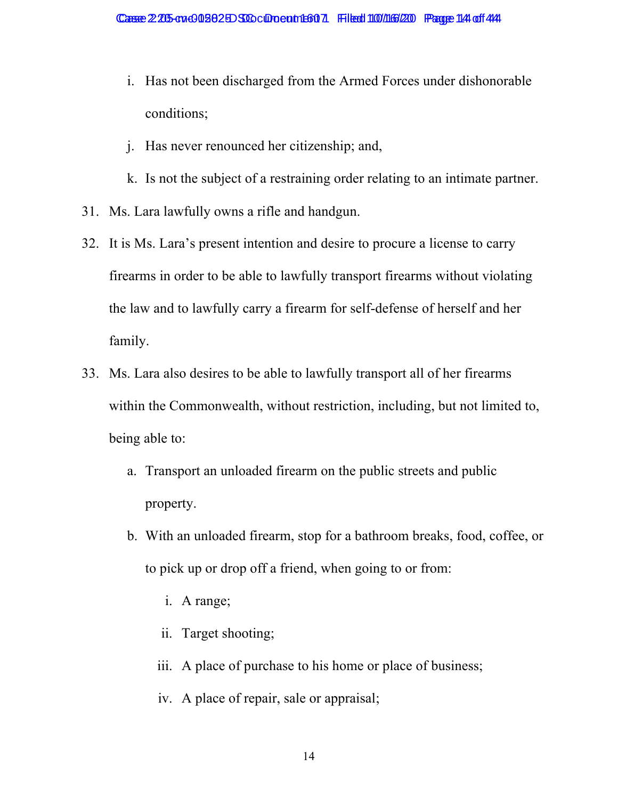- i. Has not been discharged from the Armed Forces under dishonorable conditions;
- j. Has never renounced her citizenship; and,
- k. Is not the subject of a restraining order relating to an intimate partner.
- 31. Ms. Lara lawfully owns a rifle and handgun.
- 32. It is Ms. Lara's present intention and desire to procure a license to carry firearms in order to be able to lawfully transport firearms without violating the law and to lawfully carry a firearm for self-defense of herself and her family.
- 33. Ms. Lara also desires to be able to lawfully transport all of her firearms within the Commonwealth, without restriction, including, but not limited to, being able to:
	- a. Transport an unloaded firearm on the public streets and public property.
	- b. With an unloaded firearm, stop for a bathroom breaks, food, coffee, or to pick up or drop off a friend, when going to or from:
		- i. A range;
		- ii. Target shooting;
		- iii. A place of purchase to his home or place of business;
		- iv. A place of repair, sale or appraisal;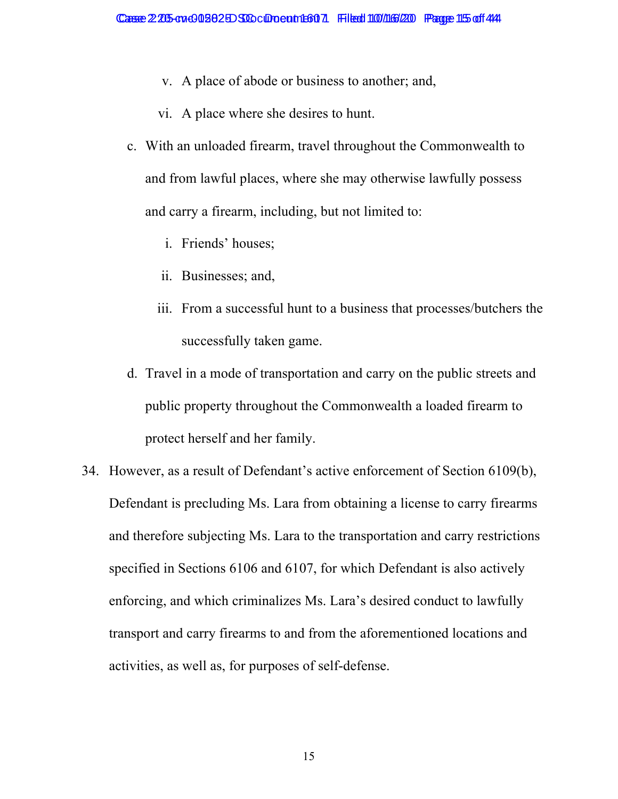- v. A place of abode or business to another; and,
- vi. A place where she desires to hunt.
- c. With an unloaded firearm, travel throughout the Commonwealth to and from lawful places, where she may otherwise lawfully possess and carry a firearm, including, but not limited to:
	- i. Friends' houses;
	- ii. Businesses; and,
	- iii. From a successful hunt to a business that processes/butchers the successfully taken game.
- d. Travel in a mode of transportation and carry on the public streets and public property throughout the Commonwealth a loaded firearm to protect herself and her family.
- 34. However, as a result of Defendant's active enforcement of Section 6109(b), Defendant is precluding Ms. Lara from obtaining a license to carry firearms and therefore subjecting Ms. Lara to the transportation and carry restrictions specified in Sections 6106 and 6107, for which Defendant is also actively enforcing, and which criminalizes Ms. Lara's desired conduct to lawfully transport and carry firearms to and from the aforementioned locations and activities, as well as, for purposes of self-defense.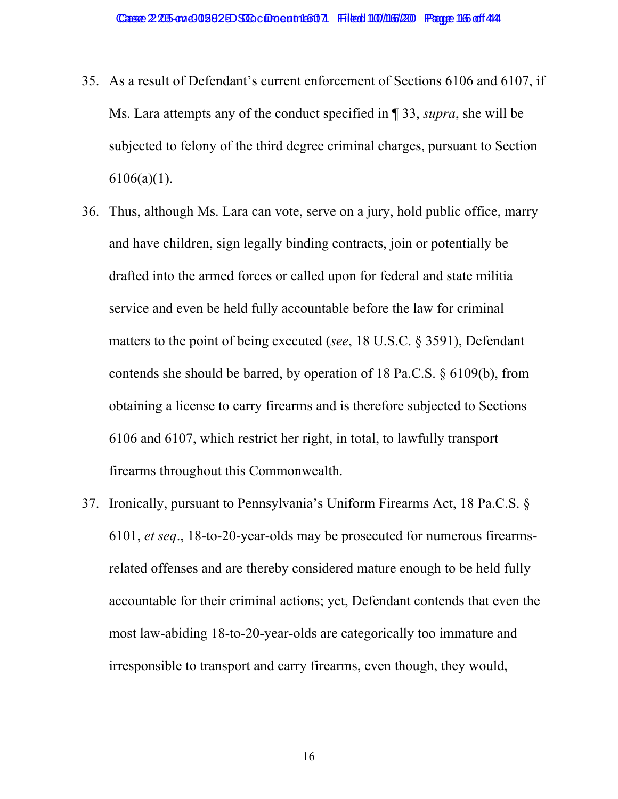- 35. As a result of Defendant's current enforcement of Sections 6106 and 6107, if Ms. Lara attempts any of the conduct specified in ¶ 33, *supra*, she will be subjected to felony of the third degree criminal charges, pursuant to Section  $6106(a)(1)$ .
- 36. Thus, although Ms. Lara can vote, serve on a jury, hold public office, marry and have children, sign legally binding contracts, join or potentially be drafted into the armed forces or called upon for federal and state militia service and even be held fully accountable before the law for criminal matters to the point of being executed (*see*, 18 U.S.C. § 3591), Defendant contends she should be barred, by operation of 18 Pa.C.S. § 6109(b), from obtaining a license to carry firearms and is therefore subjected to Sections 6106 and 6107, which restrict her right, in total, to lawfully transport firearms throughout this Commonwealth.
- 37. Ironically, pursuant to Pennsylvania's Uniform Firearms Act, 18 Pa.C.S. § 6101, *et seq*., 18-to-20-year-olds may be prosecuted for numerous firearmsrelated offenses and are thereby considered mature enough to be held fully accountable for their criminal actions; yet, Defendant contends that even the most law-abiding 18-to-20-year-olds are categorically too immature and irresponsible to transport and carry firearms, even though, they would,

16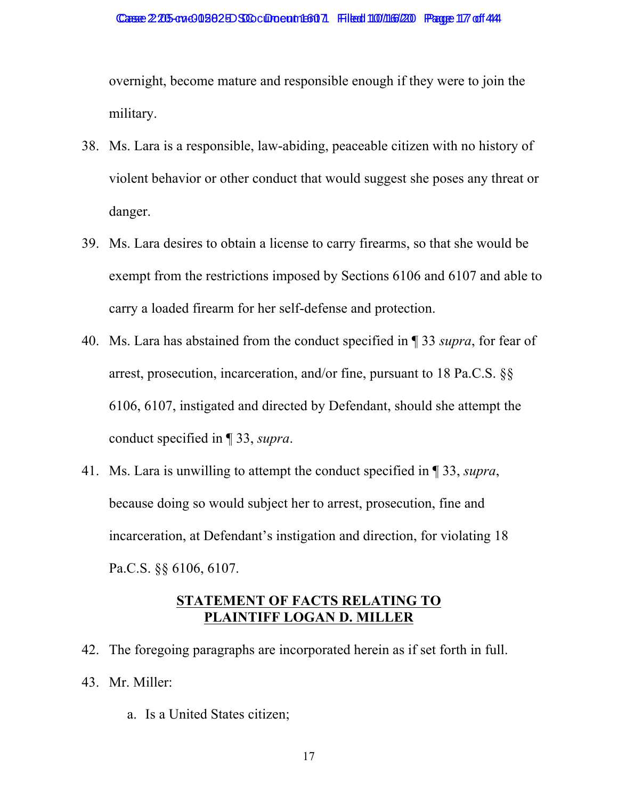overnight, become mature and responsible enough if they were to join the military.

- 38. Ms. Lara is a responsible, law-abiding, peaceable citizen with no history of violent behavior or other conduct that would suggest she poses any threat or danger.
- 39. Ms. Lara desires to obtain a license to carry firearms, so that she would be exempt from the restrictions imposed by Sections 6106 and 6107 and able to carry a loaded firearm for her self-defense and protection.
- 40. Ms. Lara has abstained from the conduct specified in ¶ 33 *supra*, for fear of arrest, prosecution, incarceration, and/or fine, pursuant to 18 Pa.C.S. §§ 6106, 6107, instigated and directed by Defendant, should she attempt the conduct specified in ¶ 33, *supra*.
- 41. Ms. Lara is unwilling to attempt the conduct specified in ¶ 33, *supra*, because doing so would subject her to arrest, prosecution, fine and incarceration, at Defendant's instigation and direction, for violating 18 Pa.C.S. §§ 6106, 6107.

## **STATEMENT OF FACTS RELATING TO PLAINTIFF LOGAN D. MILLER**

- 42. The foregoing paragraphs are incorporated herein as if set forth in full. 43. Mr. Miller:
	- a. Is a United States citizen;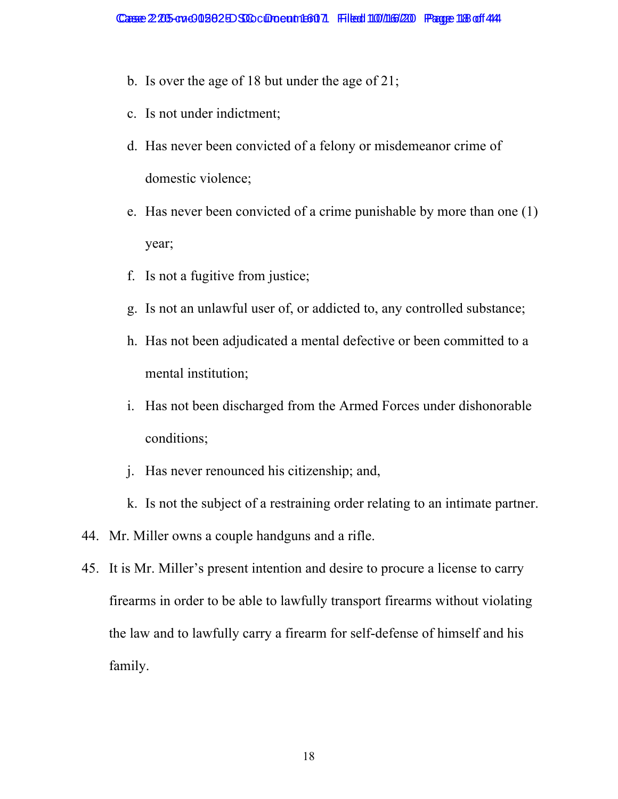- b. Is over the age of 18 but under the age of 21;
- c. Is not under indictment;
- d. Has never been convicted of a felony or misdemeanor crime of domestic violence;
- e. Has never been convicted of a crime punishable by more than one (1) year;
- f. Is not a fugitive from justice;
- g. Is not an unlawful user of, or addicted to, any controlled substance;
- h. Has not been adjudicated a mental defective or been committed to a mental institution;
- i. Has not been discharged from the Armed Forces under dishonorable conditions;
- j. Has never renounced his citizenship; and,
- k. Is not the subject of a restraining order relating to an intimate partner.
- 44. Mr. Miller owns a couple handguns and a rifle.
- 45. It is Mr. Miller's present intention and desire to procure a license to carry firearms in order to be able to lawfully transport firearms without violating the law and to lawfully carry a firearm for self-defense of himself and his family.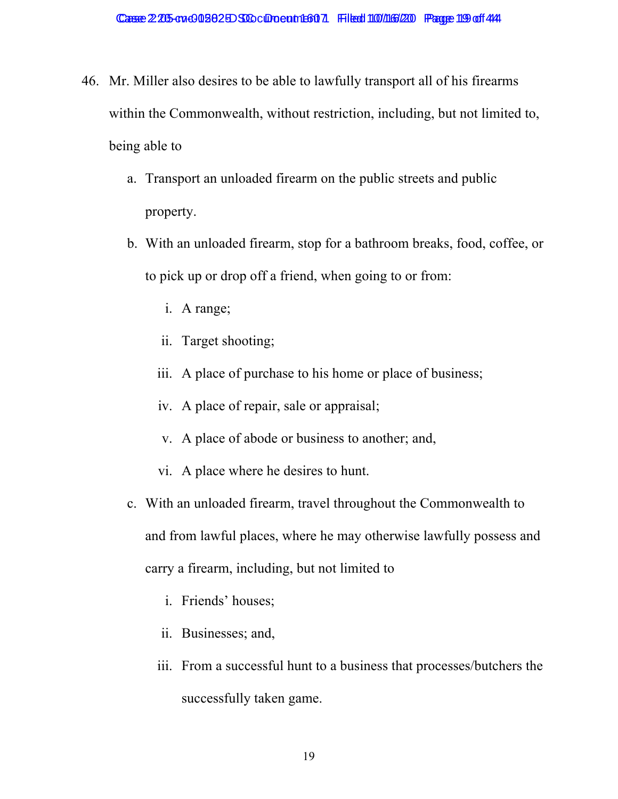- 46. Mr. Miller also desires to be able to lawfully transport all of his firearms within the Commonwealth, without restriction, including, but not limited to, being able to
	- a. Transport an unloaded firearm on the public streets and public property.
	- b. With an unloaded firearm, stop for a bathroom breaks, food, coffee, or to pick up or drop off a friend, when going to or from:
		- i. A range;
		- ii. Target shooting;
		- iii. A place of purchase to his home or place of business;
		- iv. A place of repair, sale or appraisal;
		- v. A place of abode or business to another; and,
		- vi. A place where he desires to hunt.
	- c. With an unloaded firearm, travel throughout the Commonwealth to and from lawful places, where he may otherwise lawfully possess and carry a firearm, including, but not limited to
		- i. Friends' houses;
		- ii. Businesses; and,
		- iii. From a successful hunt to a business that processes/butchers the successfully taken game.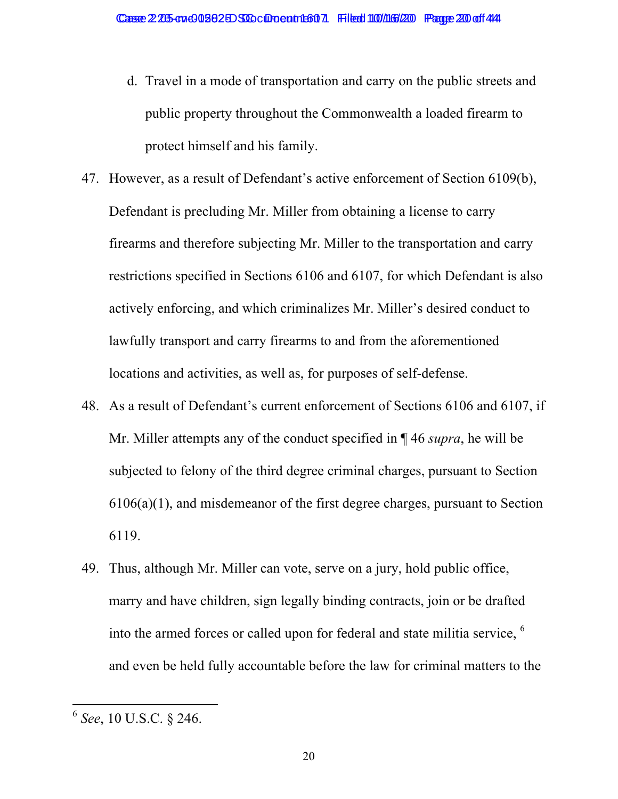- d. Travel in a mode of transportation and carry on the public streets and public property throughout the Commonwealth a loaded firearm to protect himself and his family.
- 47. However, as a result of Defendant's active enforcement of Section 6109(b), Defendant is precluding Mr. Miller from obtaining a license to carry firearms and therefore subjecting Mr. Miller to the transportation and carry restrictions specified in Sections 6106 and 6107, for which Defendant is also actively enforcing, and which criminalizes Mr. Miller's desired conduct to lawfully transport and carry firearms to and from the aforementioned locations and activities, as well as, for purposes of self-defense.
- 48. As a result of Defendant's current enforcement of Sections 6106 and 6107, if Mr. Miller attempts any of the conduct specified in ¶ 46 *supra*, he will be subjected to felony of the third degree criminal charges, pursuant to Section 6106(a)(1), and misdemeanor of the first degree charges, pursuant to Section 6119.
- 49. Thus, although Mr. Miller can vote, serve on a jury, hold public office, marry and have children, sign legally binding contracts, join or be drafted into the armed forces or called upon for federal and state militia service, <sup>6</sup> and even be held fully accountable before the law for criminal matters to the

<sup>6</sup> *See*, 10 U.S.C. § 246.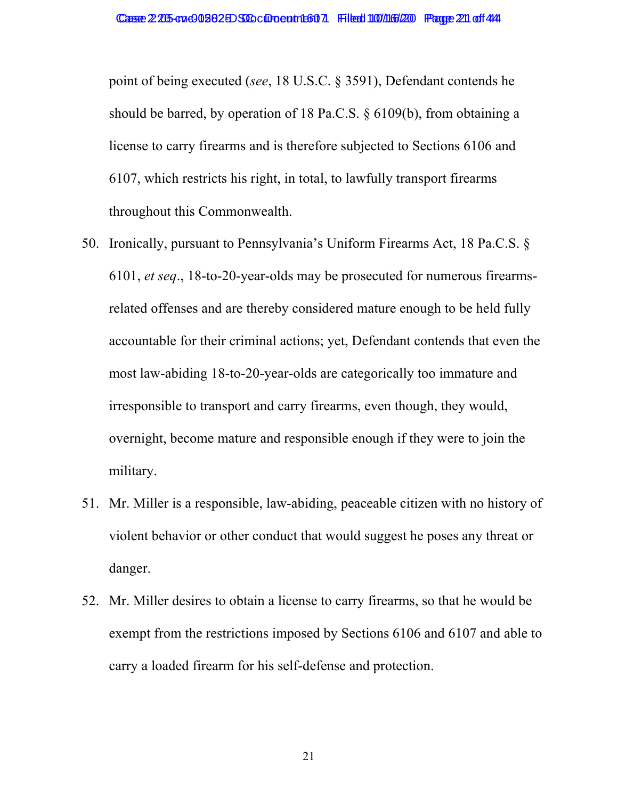point of being executed (*see*, 18 U.S.C. § 3591), Defendant contends he should be barred, by operation of 18 Pa.C.S. § 6109(b), from obtaining a license to carry firearms and is therefore subjected to Sections 6106 and 6107, which restricts his right, in total, to lawfully transport firearms throughout this Commonwealth.

- 50. Ironically, pursuant to Pennsylvania's Uniform Firearms Act, 18 Pa.C.S. § 6101, *et seq*., 18-to-20-year-olds may be prosecuted for numerous firearmsrelated offenses and are thereby considered mature enough to be held fully accountable for their criminal actions; yet, Defendant contends that even the most law-abiding 18-to-20-year-olds are categorically too immature and irresponsible to transport and carry firearms, even though, they would, overnight, become mature and responsible enough if they were to join the military.
- 51. Mr. Miller is a responsible, law-abiding, peaceable citizen with no history of violent behavior or other conduct that would suggest he poses any threat or danger.
- 52. Mr. Miller desires to obtain a license to carry firearms, so that he would be exempt from the restrictions imposed by Sections 6106 and 6107 and able to carry a loaded firearm for his self-defense and protection.

21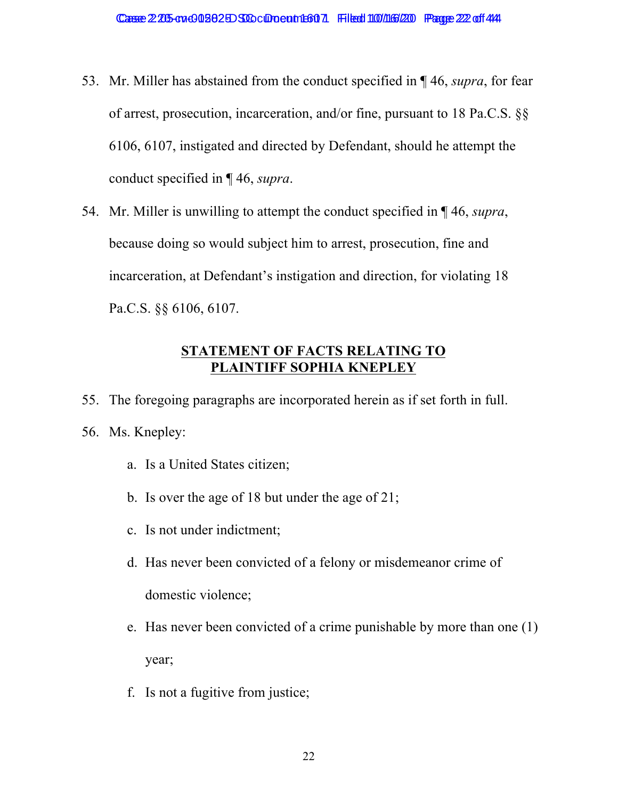- 53. Mr. Miller has abstained from the conduct specified in ¶ 46, *supra*, for fear of arrest, prosecution, incarceration, and/or fine, pursuant to 18 Pa.C.S. §§ 6106, 6107, instigated and directed by Defendant, should he attempt the conduct specified in ¶ 46, *supra*.
- 54. Mr. Miller is unwilling to attempt the conduct specified in ¶ 46, *supra*, because doing so would subject him to arrest, prosecution, fine and incarceration, at Defendant's instigation and direction, for violating 18 Pa.C.S. §§ 6106, 6107.

### **STATEMENT OF FACTS RELATING TO PLAINTIFF SOPHIA KNEPLEY**

- 55. The foregoing paragraphs are incorporated herein as if set forth in full.
- 56. Ms. Knepley:
	- a. Is a United States citizen;
	- b. Is over the age of 18 but under the age of 21;
	- c. Is not under indictment;
	- d. Has never been convicted of a felony or misdemeanor crime of domestic violence;
	- e. Has never been convicted of a crime punishable by more than one (1) year;
	- f. Is not a fugitive from justice;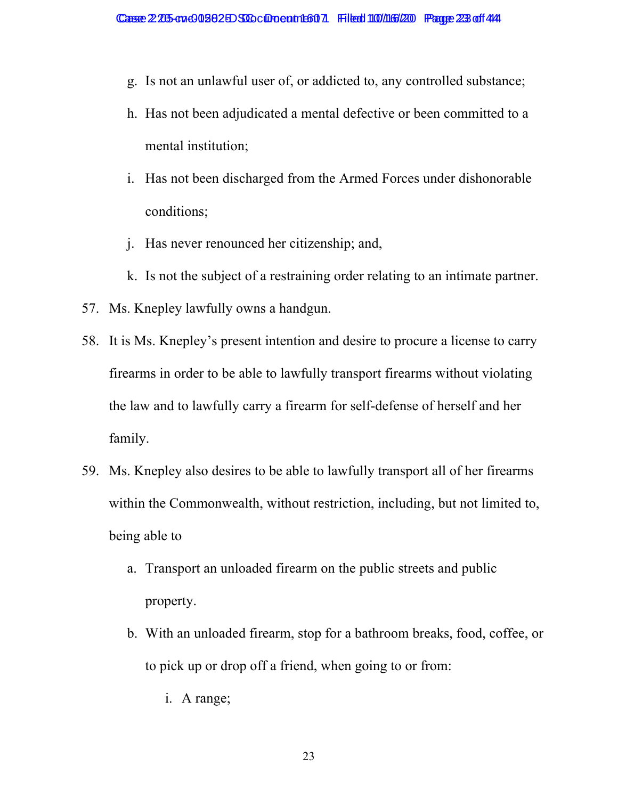- g. Is not an unlawful user of, or addicted to, any controlled substance;
- h. Has not been adjudicated a mental defective or been committed to a mental institution;
- i. Has not been discharged from the Armed Forces under dishonorable conditions;
- j. Has never renounced her citizenship; and,
- k. Is not the subject of a restraining order relating to an intimate partner.
- 57. Ms. Knepley lawfully owns a handgun.
- 58. It is Ms. Knepley's present intention and desire to procure a license to carry firearms in order to be able to lawfully transport firearms without violating the law and to lawfully carry a firearm for self-defense of herself and her family.
- 59. Ms. Knepley also desires to be able to lawfully transport all of her firearms within the Commonwealth, without restriction, including, but not limited to, being able to
	- a. Transport an unloaded firearm on the public streets and public property.
	- b. With an unloaded firearm, stop for a bathroom breaks, food, coffee, or to pick up or drop off a friend, when going to or from:
		- i. A range;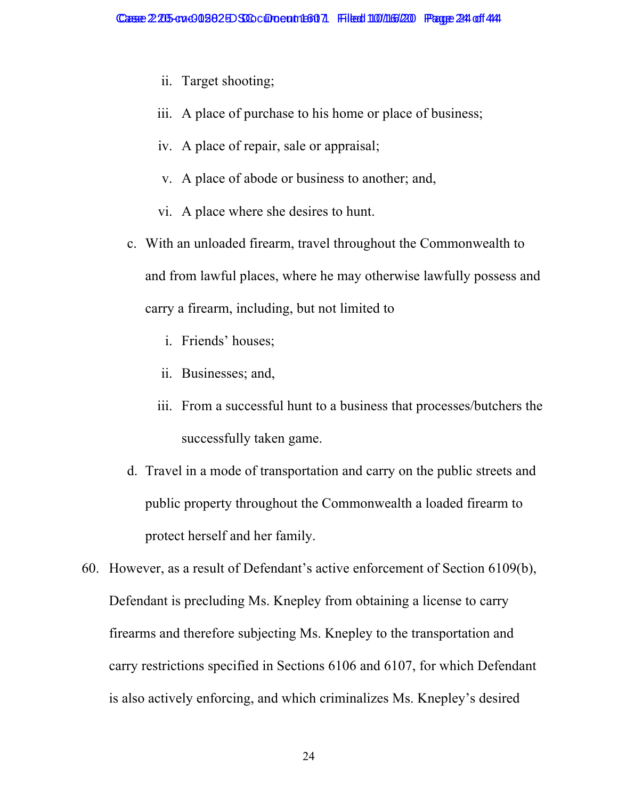- ii. Target shooting;
- iii. A place of purchase to his home or place of business;
- iv. A place of repair, sale or appraisal;
- v. A place of abode or business to another; and,
- vi. A place where she desires to hunt.
- c. With an unloaded firearm, travel throughout the Commonwealth to and from lawful places, where he may otherwise lawfully possess and carry a firearm, including, but not limited to
	- i. Friends' houses;
	- ii. Businesses; and,
	- iii. From a successful hunt to a business that processes/butchers the successfully taken game.
- d. Travel in a mode of transportation and carry on the public streets and public property throughout the Commonwealth a loaded firearm to protect herself and her family.
- 60. However, as a result of Defendant's active enforcement of Section 6109(b), Defendant is precluding Ms. Knepley from obtaining a license to carry firearms and therefore subjecting Ms. Knepley to the transportation and carry restrictions specified in Sections 6106 and 6107, for which Defendant is also actively enforcing, and which criminalizes Ms. Knepley's desired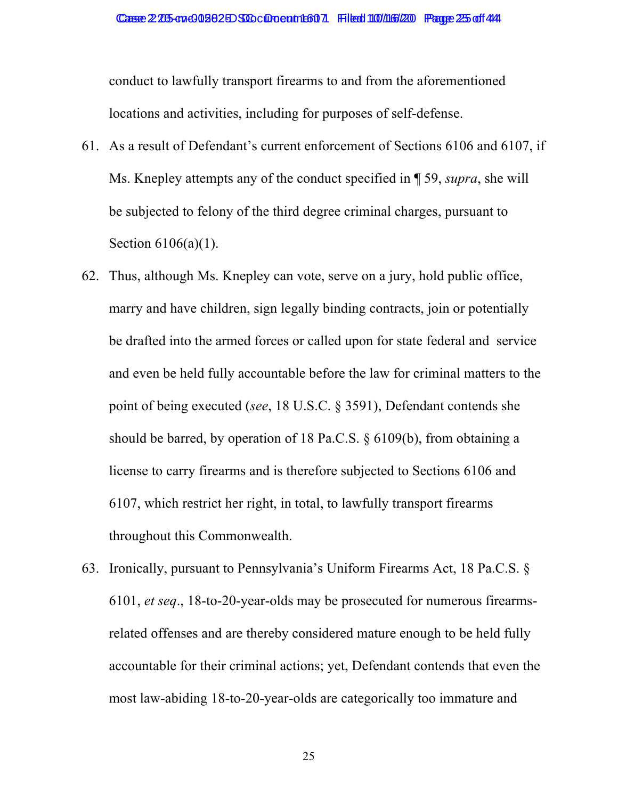conduct to lawfully transport firearms to and from the aforementioned locations and activities, including for purposes of self-defense.

- 61. As a result of Defendant's current enforcement of Sections 6106 and 6107, if Ms. Knepley attempts any of the conduct specified in ¶ 59, *supra*, she will be subjected to felony of the third degree criminal charges, pursuant to Section 6106(a)(1).
- 62. Thus, although Ms. Knepley can vote, serve on a jury, hold public office, marry and have children, sign legally binding contracts, join or potentially be drafted into the armed forces or called upon for state federal and service and even be held fully accountable before the law for criminal matters to the point of being executed (*see*, 18 U.S.C. § 3591), Defendant contends she should be barred, by operation of 18 Pa.C.S. § 6109(b), from obtaining a license to carry firearms and is therefore subjected to Sections 6106 and 6107, which restrict her right, in total, to lawfully transport firearms throughout this Commonwealth.
- 63. Ironically, pursuant to Pennsylvania's Uniform Firearms Act, 18 Pa.C.S. § 6101, *et seq*., 18-to-20-year-olds may be prosecuted for numerous firearmsrelated offenses and are thereby considered mature enough to be held fully accountable for their criminal actions; yet, Defendant contends that even the most law-abiding 18-to-20-year-olds are categorically too immature and

25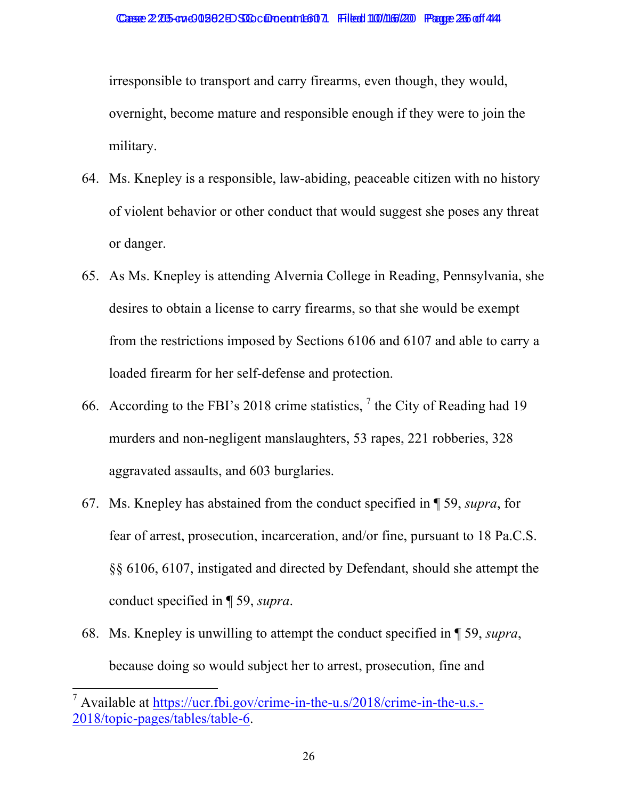irresponsible to transport and carry firearms, even though, they would, overnight, become mature and responsible enough if they were to join the military.

- 64. Ms. Knepley is a responsible, law-abiding, peaceable citizen with no history of violent behavior or other conduct that would suggest she poses any threat or danger.
- 65. As Ms. Knepley is attending Alvernia College in Reading, Pennsylvania, she desires to obtain a license to carry firearms, so that she would be exempt from the restrictions imposed by Sections 6106 and 6107 and able to carry a loaded firearm for her self-defense and protection.
- 66. According to the FBI's 2018 crime statistics,  $\frac{7}{1}$  the City of Reading had 19 murders and non-negligent manslaughters, 53 rapes, 221 robberies, 328 aggravated assaults, and 603 burglaries.
- 67. Ms. Knepley has abstained from the conduct specified in ¶ 59, *supra*, for fear of arrest, prosecution, incarceration, and/or fine, pursuant to 18 Pa.C.S. §§ 6106, 6107, instigated and directed by Defendant, should she attempt the conduct specified in ¶ 59, *supra*.
- 68. Ms. Knepley is unwilling to attempt the conduct specified in ¶ 59, *supra*, because doing so would subject her to arrest, prosecution, fine and

<sup>&</sup>lt;sup>7</sup> Available at https://ucr.fbi.gov/crime-in-the-u.s/2018/crime-in-the-u.s.-2018/topic-pages/tables/table-6.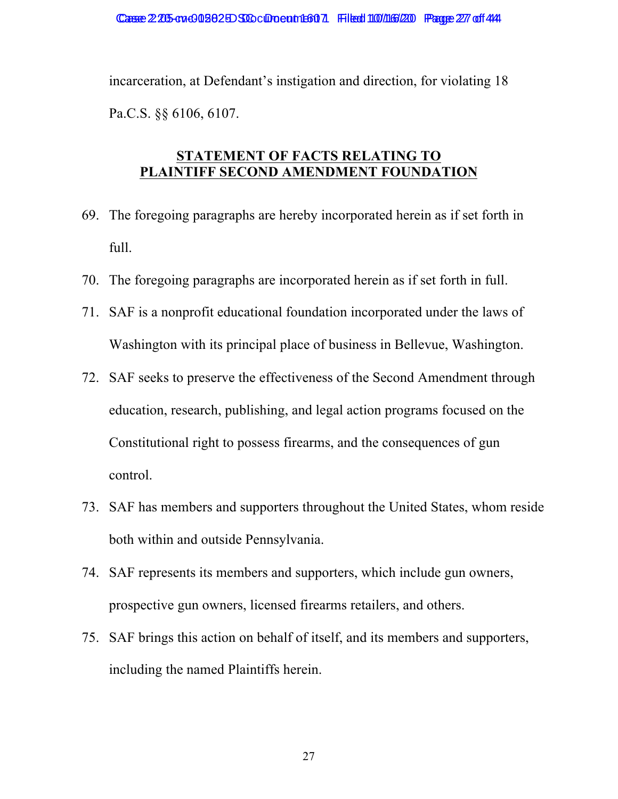incarceration, at Defendant's instigation and direction, for violating 18 Pa.C.S. §§ 6106, 6107.

#### **STATEMENT OF FACTS RELATING TO PLAINTIFF SECOND AMENDMENT FOUNDATION**

- 69. The foregoing paragraphs are hereby incorporated herein as if set forth in full.
- 70. The foregoing paragraphs are incorporated herein as if set forth in full.
- 71. SAF is a nonprofit educational foundation incorporated under the laws of Washington with its principal place of business in Bellevue, Washington.
- 72. SAF seeks to preserve the effectiveness of the Second Amendment through education, research, publishing, and legal action programs focused on the Constitutional right to possess firearms, and the consequences of gun control.
- 73. SAF has members and supporters throughout the United States, whom reside both within and outside Pennsylvania.
- 74. SAF represents its members and supporters, which include gun owners, prospective gun owners, licensed firearms retailers, and others.
- 75. SAF brings this action on behalf of itself, and its members and supporters, including the named Plaintiffs herein.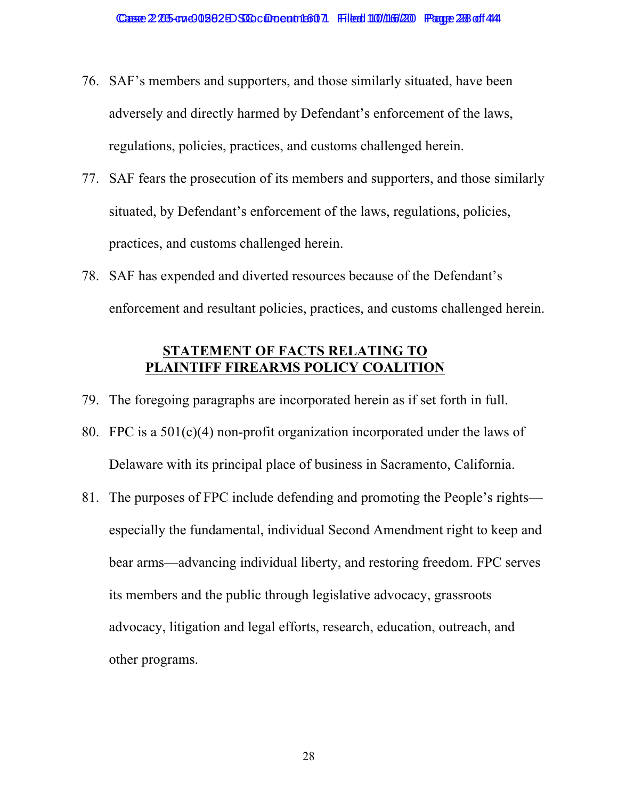- 76. SAF's members and supporters, and those similarly situated, have been adversely and directly harmed by Defendant's enforcement of the laws, regulations, policies, practices, and customs challenged herein.
- 77. SAF fears the prosecution of its members and supporters, and those similarly situated, by Defendant's enforcement of the laws, regulations, policies, practices, and customs challenged herein.
- 78. SAF has expended and diverted resources because of the Defendant's enforcement and resultant policies, practices, and customs challenged herein.

### **STATEMENT OF FACTS RELATING TO PLAINTIFF FIREARMS POLICY COALITION**

- 79. The foregoing paragraphs are incorporated herein as if set forth in full.
- 80. FPC is a 501(c)(4) non-profit organization incorporated under the laws of Delaware with its principal place of business in Sacramento, California.
- 81. The purposes of FPC include defending and promoting the People's rights especially the fundamental, individual Second Amendment right to keep and bear arms—advancing individual liberty, and restoring freedom. FPC serves its members and the public through legislative advocacy, grassroots advocacy, litigation and legal efforts, research, education, outreach, and other programs.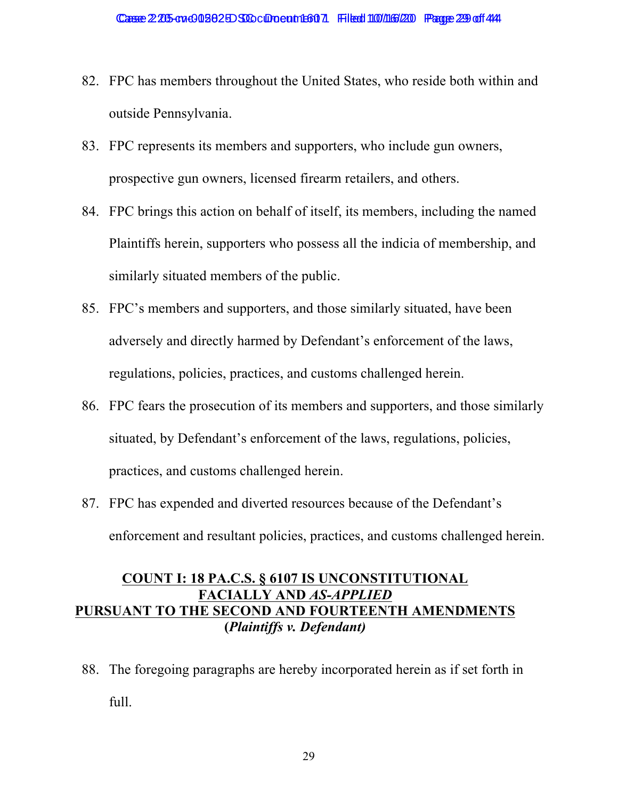- 82. FPC has members throughout the United States, who reside both within and outside Pennsylvania.
- 83. FPC represents its members and supporters, who include gun owners, prospective gun owners, licensed firearm retailers, and others.
- 84. FPC brings this action on behalf of itself, its members, including the named Plaintiffs herein, supporters who possess all the indicia of membership, and similarly situated members of the public.
- 85. FPC's members and supporters, and those similarly situated, have been adversely and directly harmed by Defendant's enforcement of the laws, regulations, policies, practices, and customs challenged herein.
- 86. FPC fears the prosecution of its members and supporters, and those similarly situated, by Defendant's enforcement of the laws, regulations, policies, practices, and customs challenged herein.
- 87. FPC has expended and diverted resources because of the Defendant's enforcement and resultant policies, practices, and customs challenged herein.

# **COUNT I: 18 PA.C.S. § 6107 IS UNCONSTITUTIONAL FACIALLY AND** *AS-APPLIED* **PURSUANT TO THE SECOND AND FOURTEENTH AMENDMENTS (***Plaintiffs v. Defendant)*

88. The foregoing paragraphs are hereby incorporated herein as if set forth in full.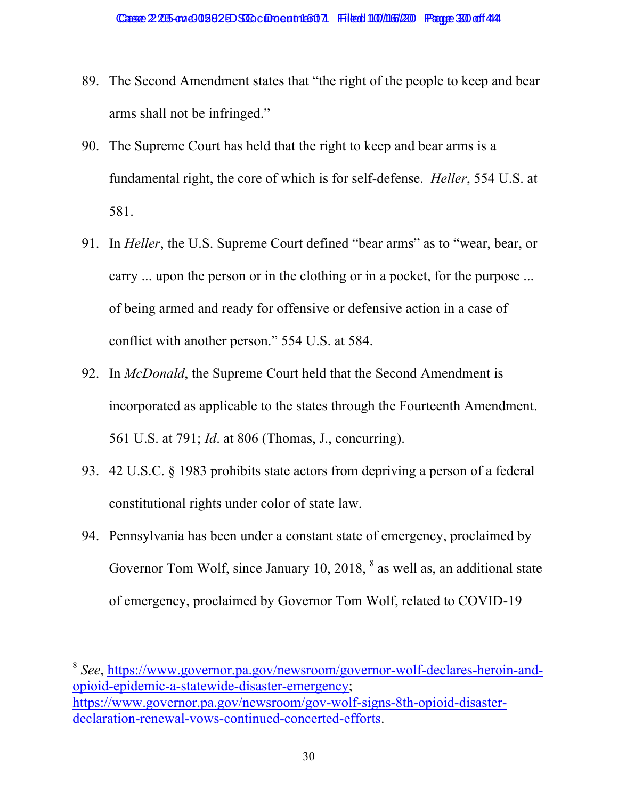- 89. The Second Amendment states that "the right of the people to keep and bear arms shall not be infringed."
- 90. The Supreme Court has held that the right to keep and bear arms is a fundamental right, the core of which is for self-defense. *Heller*, 554 U.S. at 581.
- 91. In *Heller*, the U.S. Supreme Court defined "bear arms" as to "wear, bear, or carry ... upon the person or in the clothing or in a pocket, for the purpose ... of being armed and ready for offensive or defensive action in a case of conflict with another person." 554 U.S. at 584.
- 92. In *McDonald*, the Supreme Court held that the Second Amendment is incorporated as applicable to the states through the Fourteenth Amendment. 561 U.S. at 791; *Id*. at 806 (Thomas, J., concurring).
- 93. 42 U.S.C. § 1983 prohibits state actors from depriving a person of a federal constitutional rights under color of state law.
- 94. Pennsylvania has been under a constant state of emergency, proclaimed by Governor Tom Wolf, since January 10, 2018,  $8$  as well as, an additional state of emergency, proclaimed by Governor Tom Wolf, related to COVID-19

<sup>8</sup> *See*, https://www.governor.pa.gov/newsroom/governor-wolf-declares-heroin-andopioid-epidemic-a-statewide-disaster-emergency; https://www.governor.pa.gov/newsroom/gov-wolf-signs-8th-opioid-disasterdeclaration-renewal-vows-continued-concerted-efforts.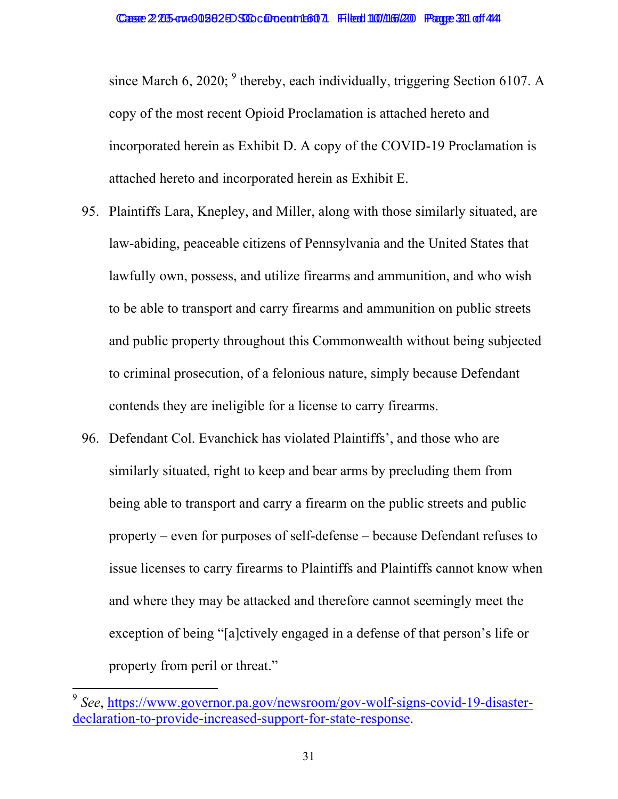since March 6, 2020;  $9$  thereby, each individually, triggering Section 6107. A copy of the most recent Opioid Proclamation is attached hereto and incorporated herein as Exhibit D. A copy of the COVID-19 Proclamation is attached hereto and incorporated herein as Exhibit E.

- 95. Plaintiffs Lara, Knepley, and Miller, along with those similarly situated, are law-abiding, peaceable citizens of Pennsylvania and the United States that lawfully own, possess, and utilize firearms and ammunition, and who wish to be able to transport and carry firearms and ammunition on public streets and public property throughout this Commonwealth without being subjected to criminal prosecution, of a felonious nature, simply because Defendant contends they are ineligible for a license to carry firearms.
- 96. Defendant Col. Evanchick has violated Plaintiffs', and those who are similarly situated, right to keep and bear arms by precluding them from being able to transport and carry a firearm on the public streets and public property – even for purposes of self-defense – because Defendant refuses to issue licenses to carry firearms to Plaintiffs and Plaintiffs cannot know when and where they may be attacked and therefore cannot seemingly meet the exception of being "[a]ctively engaged in a defense of that person's life or property from peril or threat."

<sup>9</sup> *See*, https://www.governor.pa.gov/newsroom/gov-wolf-signs-covid-19-disasterdeclaration-to-provide-increased-support-for-state-response.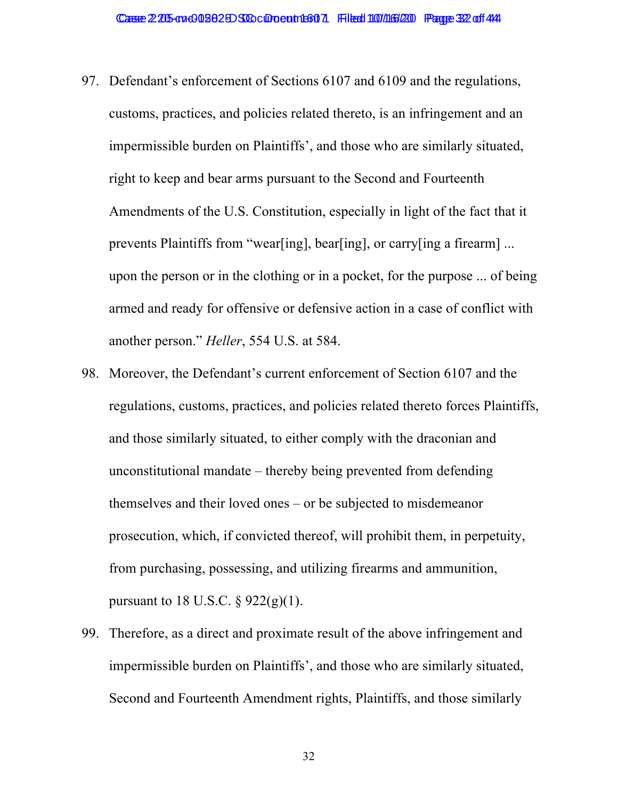- 97. Defendant's enforcement of Sections 6107 and 6109 and the regulations, customs, practices, and policies related thereto, is an infringement and an impermissible burden on Plaintiffs', and those who are similarly situated, right to keep and bear arms pursuant to the Second and Fourteenth Amendments of the U.S. Constitution, especially in light of the fact that it prevents Plaintiffs from "wear[ing], bear[ing], or carry[ing a firearm] ... upon the person or in the clothing or in a pocket, for the purpose ... of being armed and ready for offensive or defensive action in a case of conflict with another person." *Heller*, 554 U.S. at 584.
- 98. Moreover, the Defendant's current enforcement of Section 6107 and the regulations, customs, practices, and policies related thereto forces Plaintiffs, and those similarly situated, to either comply with the draconian and unconstitutional mandate – thereby being prevented from defending themselves and their loved ones – or be subjected to misdemeanor prosecution, which, if convicted thereof, will prohibit them, in perpetuity, from purchasing, possessing, and utilizing firearms and ammunition, pursuant to 18 U.S.C.  $\S 922(g)(1)$ .
- 99. Therefore, as a direct and proximate result of the above infringement and impermissible burden on Plaintiffs', and those who are similarly situated, Second and Fourteenth Amendment rights, Plaintiffs, and those similarly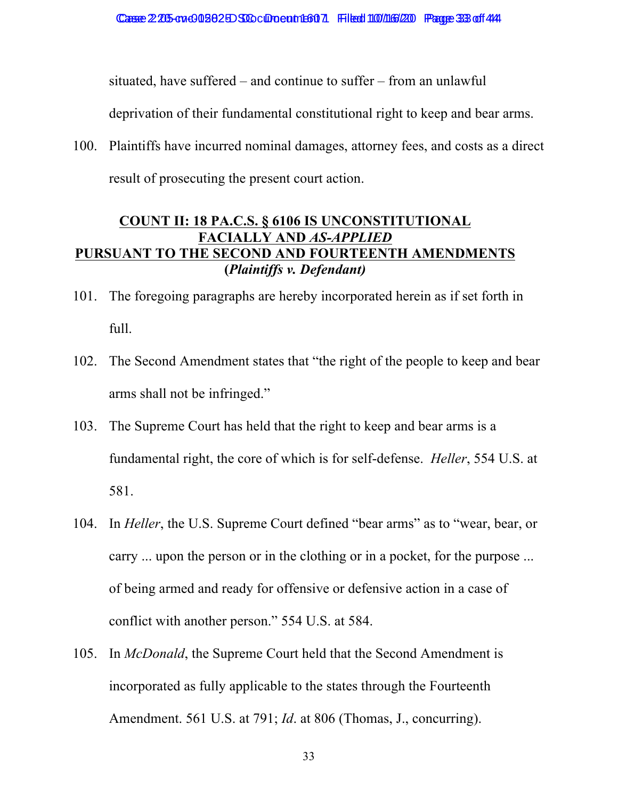situated, have suffered – and continue to suffer – from an unlawful

deprivation of their fundamental constitutional right to keep and bear arms.

100. Plaintiffs have incurred nominal damages, attorney fees, and costs as a direct result of prosecuting the present court action.

## **COUNT II: 18 PA.C.S. § 6106 IS UNCONSTITUTIONAL FACIALLY AND** *AS-APPLIED* **PURSUANT TO THE SECOND AND FOURTEENTH AMENDMENTS (***Plaintiffs v. Defendant)*

- 101. The foregoing paragraphs are hereby incorporated herein as if set forth in full.
- 102. The Second Amendment states that "the right of the people to keep and bear arms shall not be infringed."
- 103. The Supreme Court has held that the right to keep and bear arms is a fundamental right, the core of which is for self-defense. *Heller*, 554 U.S. at 581.
- 104. In *Heller*, the U.S. Supreme Court defined "bear arms" as to "wear, bear, or carry ... upon the person or in the clothing or in a pocket, for the purpose ... of being armed and ready for offensive or defensive action in a case of conflict with another person." 554 U.S. at 584.
- 105. In *McDonald*, the Supreme Court held that the Second Amendment is incorporated as fully applicable to the states through the Fourteenth Amendment. 561 U.S. at 791; *Id*. at 806 (Thomas, J., concurring).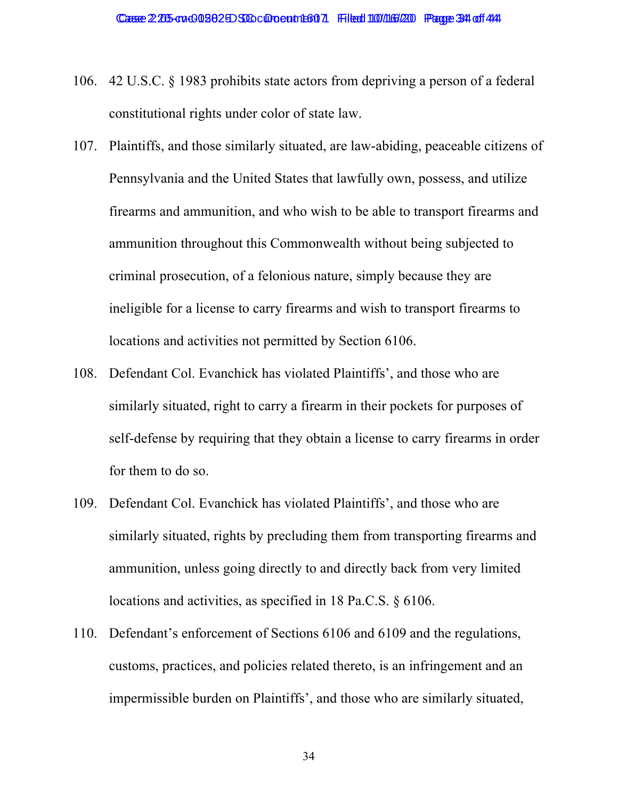- 106. 42 U.S.C. § 1983 prohibits state actors from depriving a person of a federal constitutional rights under color of state law.
- 107. Plaintiffs, and those similarly situated, are law-abiding, peaceable citizens of Pennsylvania and the United States that lawfully own, possess, and utilize firearms and ammunition, and who wish to be able to transport firearms and ammunition throughout this Commonwealth without being subjected to criminal prosecution, of a felonious nature, simply because they are ineligible for a license to carry firearms and wish to transport firearms to locations and activities not permitted by Section 6106.
- 108. Defendant Col. Evanchick has violated Plaintiffs', and those who are similarly situated, right to carry a firearm in their pockets for purposes of self-defense by requiring that they obtain a license to carry firearms in order for them to do so.
- 109. Defendant Col. Evanchick has violated Plaintiffs', and those who are similarly situated, rights by precluding them from transporting firearms and ammunition, unless going directly to and directly back from very limited locations and activities, as specified in 18 Pa.C.S. § 6106.
- 110. Defendant's enforcement of Sections 6106 and 6109 and the regulations, customs, practices, and policies related thereto, is an infringement and an impermissible burden on Plaintiffs', and those who are similarly situated,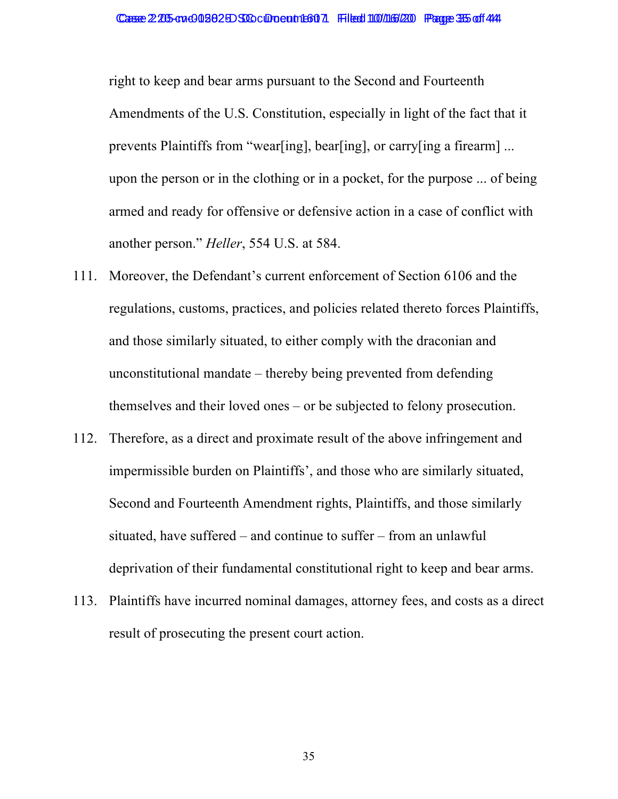right to keep and bear arms pursuant to the Second and Fourteenth Amendments of the U.S. Constitution, especially in light of the fact that it prevents Plaintiffs from "wear[ing], bear[ing], or carry[ing a firearm] ... upon the person or in the clothing or in a pocket, for the purpose ... of being armed and ready for offensive or defensive action in a case of conflict with another person." *Heller*, 554 U.S. at 584.

- 111. Moreover, the Defendant's current enforcement of Section 6106 and the regulations, customs, practices, and policies related thereto forces Plaintiffs, and those similarly situated, to either comply with the draconian and unconstitutional mandate – thereby being prevented from defending themselves and their loved ones – or be subjected to felony prosecution.
- 112. Therefore, as a direct and proximate result of the above infringement and impermissible burden on Plaintiffs', and those who are similarly situated, Second and Fourteenth Amendment rights, Plaintiffs, and those similarly situated, have suffered – and continue to suffer – from an unlawful deprivation of their fundamental constitutional right to keep and bear arms.
- 113. Plaintiffs have incurred nominal damages, attorney fees, and costs as a direct result of prosecuting the present court action.

35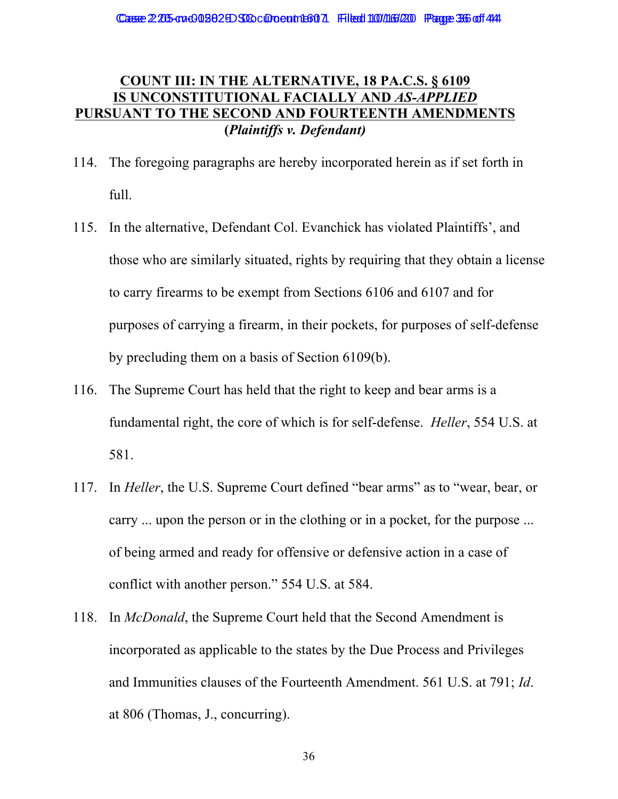## **COUNT III: IN THE ALTERNATIVE, 18 PA.C.S. § 6109 IS UNCONSTITUTIONAL FACIALLY AND** *AS-APPLIED* **PURSUANT TO THE SECOND AND FOURTEENTH AMENDMENTS (***Plaintiffs v. Defendant)*

- 114. The foregoing paragraphs are hereby incorporated herein as if set forth in full.
- 115. In the alternative, Defendant Col. Evanchick has violated Plaintiffs', and those who are similarly situated, rights by requiring that they obtain a license to carry firearms to be exempt from Sections 6106 and 6107 and for purposes of carrying a firearm, in their pockets, for purposes of self-defense by precluding them on a basis of Section 6109(b).
- 116. The Supreme Court has held that the right to keep and bear arms is a fundamental right, the core of which is for self-defense. *Heller*, 554 U.S. at 581.
- 117. In *Heller*, the U.S. Supreme Court defined "bear arms" as to "wear, bear, or carry ... upon the person or in the clothing or in a pocket, for the purpose ... of being armed and ready for offensive or defensive action in a case of conflict with another person." 554 U.S. at 584.
- 118. In *McDonald*, the Supreme Court held that the Second Amendment is incorporated as applicable to the states by the Due Process and Privileges and Immunities clauses of the Fourteenth Amendment. 561 U.S. at 791; *Id*. at 806 (Thomas, J., concurring).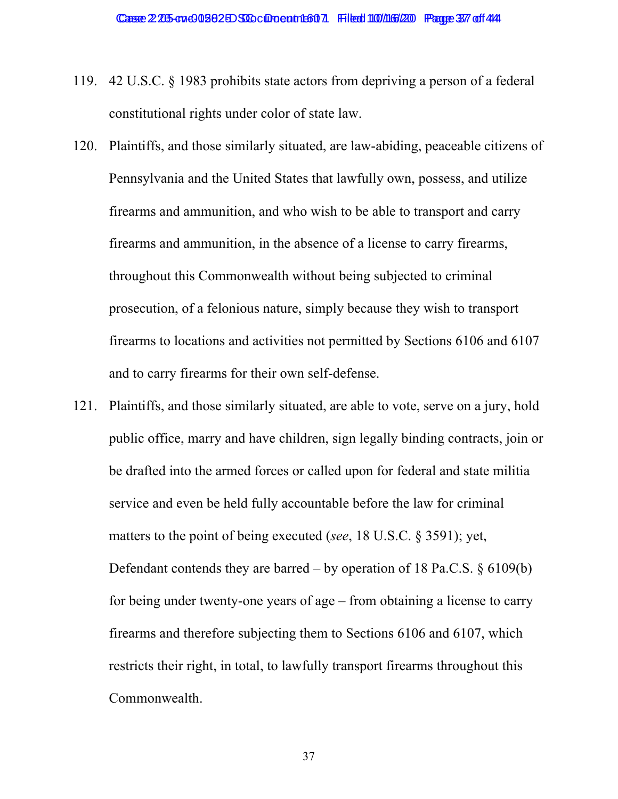- 119. 42 U.S.C. § 1983 prohibits state actors from depriving a person of a federal constitutional rights under color of state law.
- 120. Plaintiffs, and those similarly situated, are law-abiding, peaceable citizens of Pennsylvania and the United States that lawfully own, possess, and utilize firearms and ammunition, and who wish to be able to transport and carry firearms and ammunition, in the absence of a license to carry firearms, throughout this Commonwealth without being subjected to criminal prosecution, of a felonious nature, simply because they wish to transport firearms to locations and activities not permitted by Sections 6106 and 6107 and to carry firearms for their own self-defense.
- 121. Plaintiffs, and those similarly situated, are able to vote, serve on a jury, hold public office, marry and have children, sign legally binding contracts, join or be drafted into the armed forces or called upon for federal and state militia service and even be held fully accountable before the law for criminal matters to the point of being executed (*see*, 18 U.S.C. § 3591); yet, Defendant contends they are barred – by operation of 18 Pa.C.S.  $\S$  6109(b) for being under twenty-one years of age – from obtaining a license to carry firearms and therefore subjecting them to Sections 6106 and 6107, which restricts their right, in total, to lawfully transport firearms throughout this Commonwealth.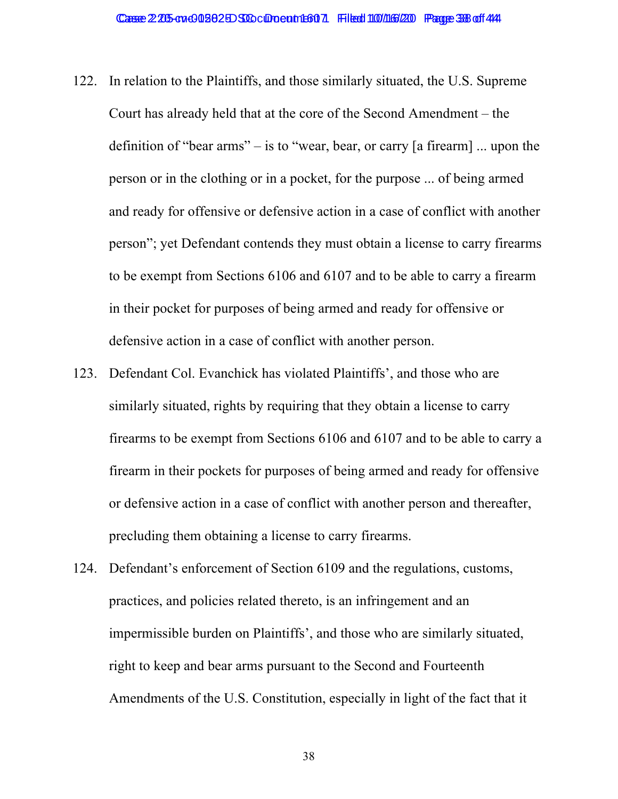- 122. In relation to the Plaintiffs, and those similarly situated, the U.S. Supreme Court has already held that at the core of the Second Amendment – the definition of "bear arms" – is to "wear, bear, or carry [a firearm] ... upon the person or in the clothing or in a pocket, for the purpose ... of being armed and ready for offensive or defensive action in a case of conflict with another person"; yet Defendant contends they must obtain a license to carry firearms to be exempt from Sections 6106 and 6107 and to be able to carry a firearm in their pocket for purposes of being armed and ready for offensive or defensive action in a case of conflict with another person.
- 123. Defendant Col. Evanchick has violated Plaintiffs', and those who are similarly situated, rights by requiring that they obtain a license to carry firearms to be exempt from Sections 6106 and 6107 and to be able to carry a firearm in their pockets for purposes of being armed and ready for offensive or defensive action in a case of conflict with another person and thereafter, precluding them obtaining a license to carry firearms.
- 124. Defendant's enforcement of Section 6109 and the regulations, customs, practices, and policies related thereto, is an infringement and an impermissible burden on Plaintiffs', and those who are similarly situated, right to keep and bear arms pursuant to the Second and Fourteenth Amendments of the U.S. Constitution, especially in light of the fact that it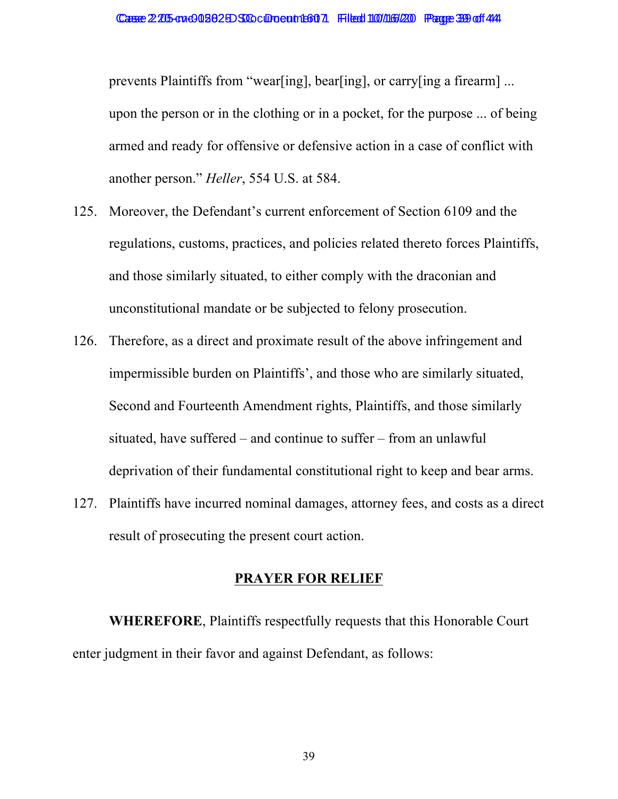prevents Plaintiffs from "wear[ing], bear[ing], or carry[ing a firearm] ... upon the person or in the clothing or in a pocket, for the purpose ... of being armed and ready for offensive or defensive action in a case of conflict with another person." *Heller*, 554 U.S. at 584.

- 125. Moreover, the Defendant's current enforcement of Section 6109 and the regulations, customs, practices, and policies related thereto forces Plaintiffs, and those similarly situated, to either comply with the draconian and unconstitutional mandate or be subjected to felony prosecution.
- 126. Therefore, as a direct and proximate result of the above infringement and impermissible burden on Plaintiffs', and those who are similarly situated, Second and Fourteenth Amendment rights, Plaintiffs, and those similarly situated, have suffered – and continue to suffer – from an unlawful deprivation of their fundamental constitutional right to keep and bear arms.
- 127. Plaintiffs have incurred nominal damages, attorney fees, and costs as a direct result of prosecuting the present court action.

#### **PRAYER FOR RELIEF**

**WHEREFORE**, Plaintiffs respectfully requests that this Honorable Court enter judgment in their favor and against Defendant, as follows: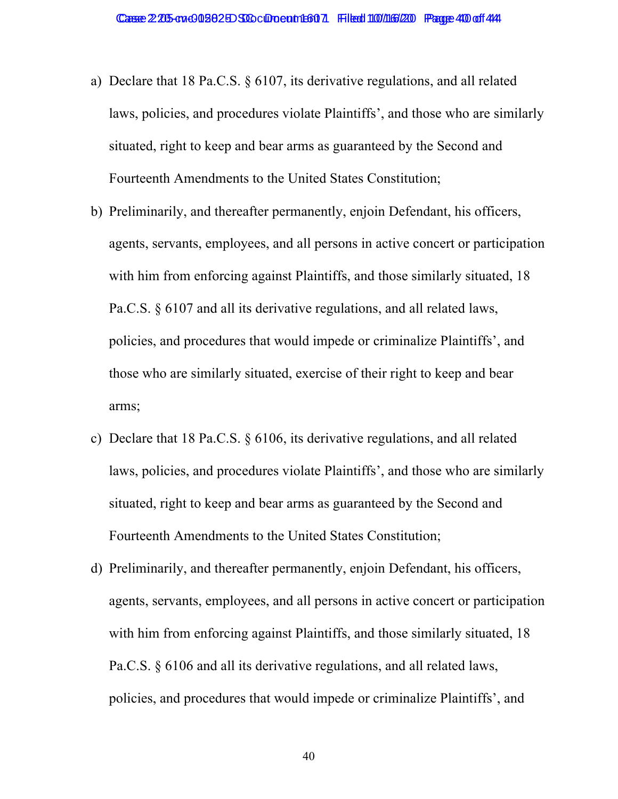- a) Declare that 18 Pa.C.S. § 6107, its derivative regulations, and all related laws, policies, and procedures violate Plaintiffs', and those who are similarly situated, right to keep and bear arms as guaranteed by the Second and Fourteenth Amendments to the United States Constitution;
- b) Preliminarily, and thereafter permanently, enjoin Defendant, his officers, agents, servants, employees, and all persons in active concert or participation with him from enforcing against Plaintiffs, and those similarly situated, 18 Pa.C.S. § 6107 and all its derivative regulations, and all related laws, policies, and procedures that would impede or criminalize Plaintiffs', and those who are similarly situated, exercise of their right to keep and bear arms;
- c) Declare that 18 Pa.C.S. § 6106, its derivative regulations, and all related laws, policies, and procedures violate Plaintiffs', and those who are similarly situated, right to keep and bear arms as guaranteed by the Second and Fourteenth Amendments to the United States Constitution;
- d) Preliminarily, and thereafter permanently, enjoin Defendant, his officers, agents, servants, employees, and all persons in active concert or participation with him from enforcing against Plaintiffs, and those similarly situated, 18 Pa.C.S. § 6106 and all its derivative regulations, and all related laws, policies, and procedures that would impede or criminalize Plaintiffs', and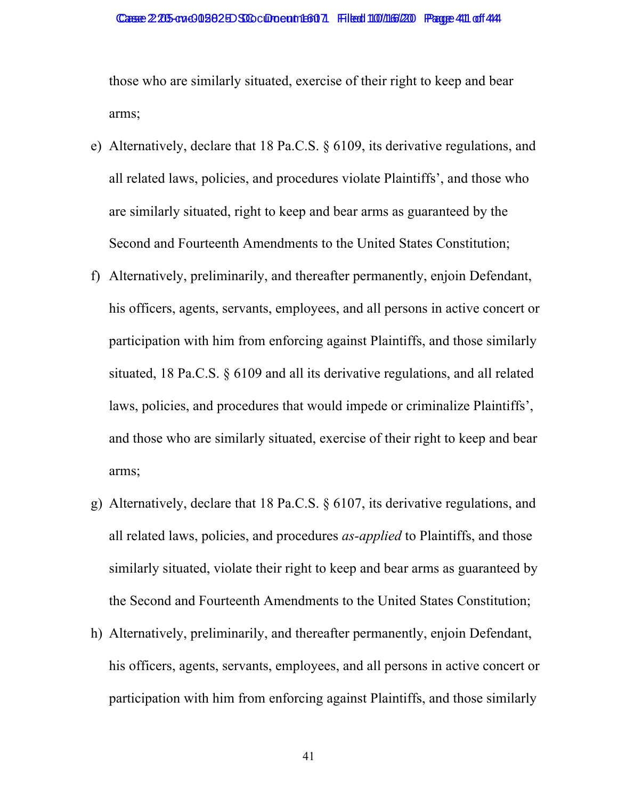those who are similarly situated, exercise of their right to keep and bear arms;

- e) Alternatively, declare that 18 Pa.C.S. § 6109, its derivative regulations, and all related laws, policies, and procedures violate Plaintiffs', and those who are similarly situated, right to keep and bear arms as guaranteed by the Second and Fourteenth Amendments to the United States Constitution;
- f) Alternatively, preliminarily, and thereafter permanently, enjoin Defendant, his officers, agents, servants, employees, and all persons in active concert or participation with him from enforcing against Plaintiffs, and those similarly situated, 18 Pa.C.S. § 6109 and all its derivative regulations, and all related laws, policies, and procedures that would impede or criminalize Plaintiffs', and those who are similarly situated, exercise of their right to keep and bear arms;
- g) Alternatively, declare that 18 Pa.C.S. § 6107, its derivative regulations, and all related laws, policies, and procedures *as-applied* to Plaintiffs, and those similarly situated, violate their right to keep and bear arms as guaranteed by the Second and Fourteenth Amendments to the United States Constitution;
- h) Alternatively, preliminarily, and thereafter permanently, enjoin Defendant, his officers, agents, servants, employees, and all persons in active concert or participation with him from enforcing against Plaintiffs, and those similarly

41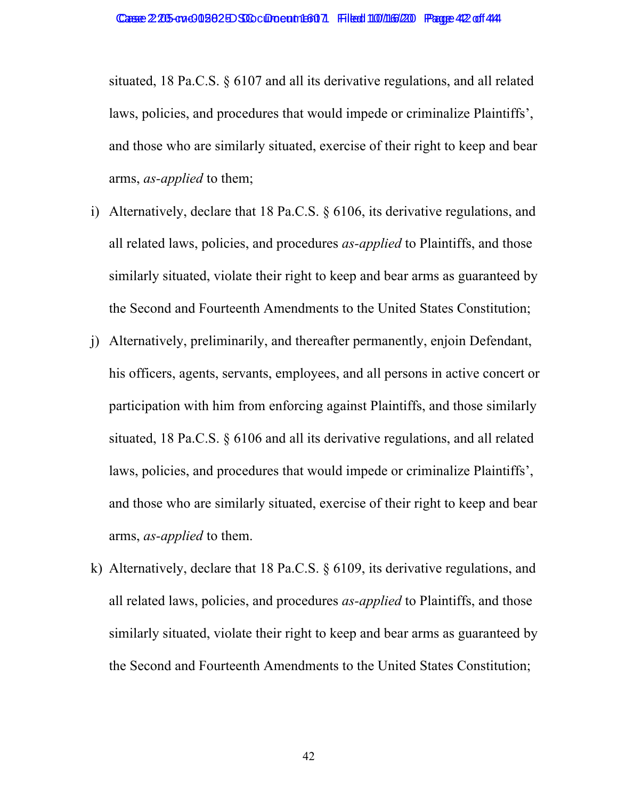situated, 18 Pa.C.S. § 6107 and all its derivative regulations, and all related laws, policies, and procedures that would impede or criminalize Plaintiffs', and those who are similarly situated, exercise of their right to keep and bear arms, *as-applied* to them;

- i) Alternatively, declare that 18 Pa.C.S. § 6106, its derivative regulations, and all related laws, policies, and procedures *as-applied* to Plaintiffs, and those similarly situated, violate their right to keep and bear arms as guaranteed by the Second and Fourteenth Amendments to the United States Constitution;
- j) Alternatively, preliminarily, and thereafter permanently, enjoin Defendant, his officers, agents, servants, employees, and all persons in active concert or participation with him from enforcing against Plaintiffs, and those similarly situated, 18 Pa.C.S. § 6106 and all its derivative regulations, and all related laws, policies, and procedures that would impede or criminalize Plaintiffs', and those who are similarly situated, exercise of their right to keep and bear arms, *as-applied* to them.
- k) Alternatively, declare that 18 Pa.C.S. § 6109, its derivative regulations, and all related laws, policies, and procedures *as-applied* to Plaintiffs, and those similarly situated, violate their right to keep and bear arms as guaranteed by the Second and Fourteenth Amendments to the United States Constitution;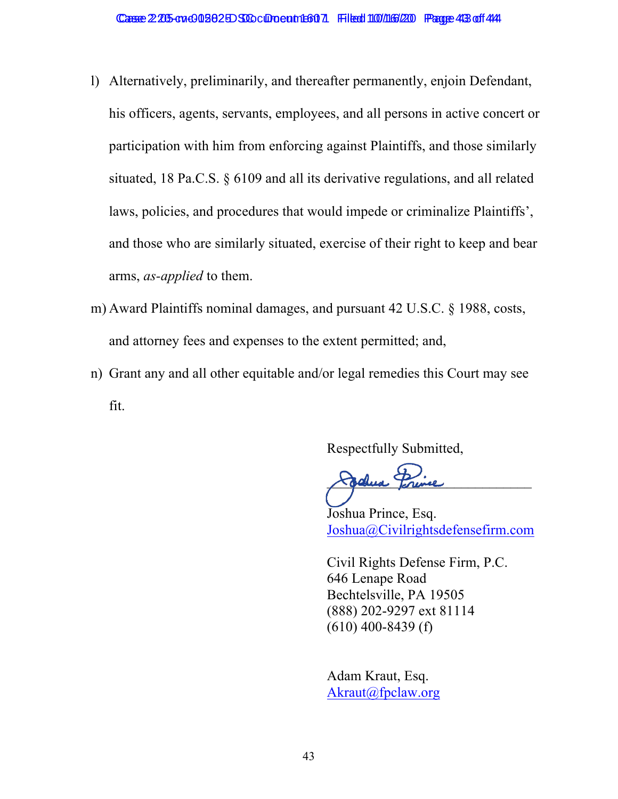- l) Alternatively, preliminarily, and thereafter permanently, enjoin Defendant, his officers, agents, servants, employees, and all persons in active concert or participation with him from enforcing against Plaintiffs, and those similarly situated, 18 Pa.C.S. § 6109 and all its derivative regulations, and all related laws, policies, and procedures that would impede or criminalize Plaintiffs', and those who are similarly situated, exercise of their right to keep and bear arms, *as-applied* to them.
- m) Award Plaintiffs nominal damages, and pursuant 42 U.S.C. § 1988, costs, and attorney fees and expenses to the extent permitted; and,
- n) Grant any and all other equitable and/or legal remedies this Court may see fit.

Respectfully Submitted,

Jodhua Perince

Joshua Prince, Esq. Joshua@Civilrightsdefensefirm.com

Civil Rights Defense Firm, P.C. 646 Lenape Road Bechtelsville, PA 19505 (888) 202-9297 ext 81114  $(610)$  400-8439 (f)

Adam Kraut, Esq. Akraut@fpclaw.org